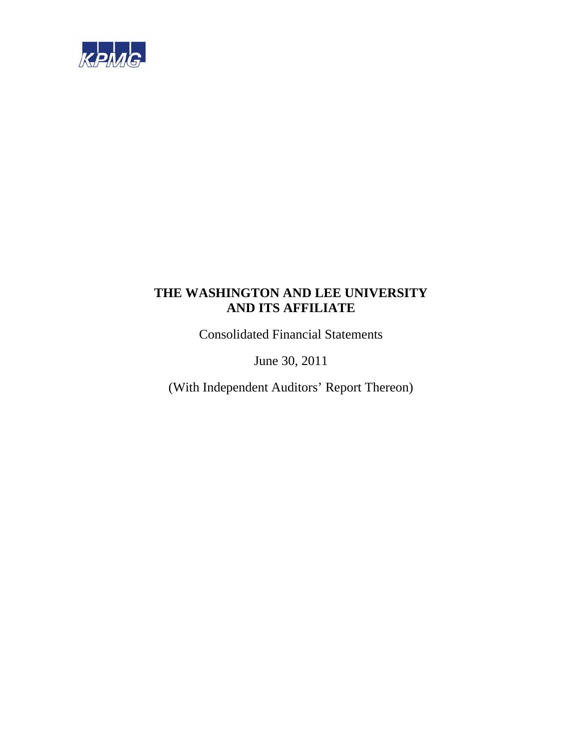

Consolidated Financial Statements

June 30, 2011

(With Independent Auditors' Report Thereon)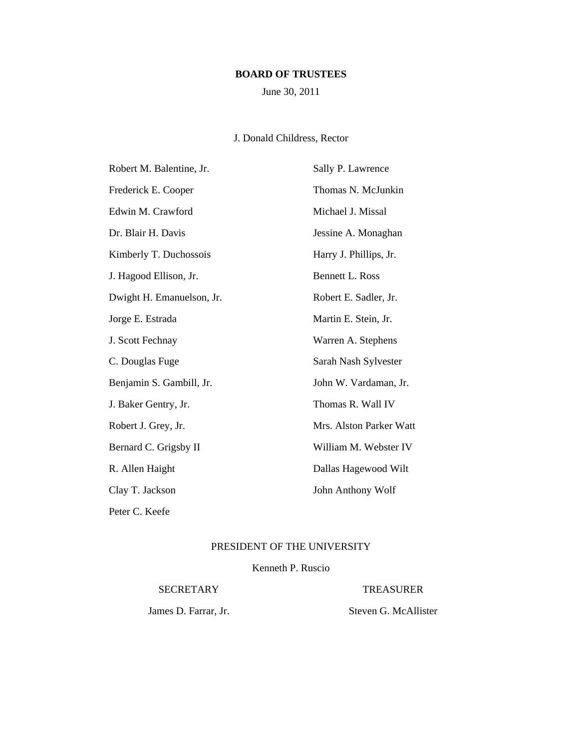# **BOARD OF TRUSTEES**

June 30, 2011

# J. Donald Childress, Rector

| Robert M. Balentine, Jr.  | Sally P. Lawrence       |
|---------------------------|-------------------------|
| Frederick E. Cooper       | Thomas N. McJunkin      |
| Edwin M. Crawford         | Michael J. Missal       |
| Dr. Blair H. Davis        | Jessine A. Monaghan     |
| Kimberly T. Duchossois    | Harry J. Phillips, Jr.  |
| J. Hagood Ellison, Jr.    | Bennett L. Ross         |
| Dwight H. Emanuelson, Jr. | Robert E. Sadler, Jr.   |
| Jorge E. Estrada          | Martin E. Stein, Jr.    |
| J. Scott Fechnay          | Warren A. Stephens      |
| C. Douglas Fuge           | Sarah Nash Sylvester    |
| Benjamin S. Gambill, Jr.  | John W. Vardaman, Jr.   |
| J. Baker Gentry, Jr.      | Thomas R. Wall IV       |
| Robert J. Grey, Jr.       | Mrs. Alston Parker Watt |
| Bernard C. Grigsby II     | William M. Webster IV   |
| R. Allen Haight           | Dallas Hagewood Wilt    |
| Clay T. Jackson           | John Anthony Wolf       |
| Peter C. Keefe            |                         |

# PRESIDENT OF THE UNIVERSITY

Kenneth P. Ruscio

SECRETARY TREASURER

James D. Farrar, Jr. Steven G. McAllister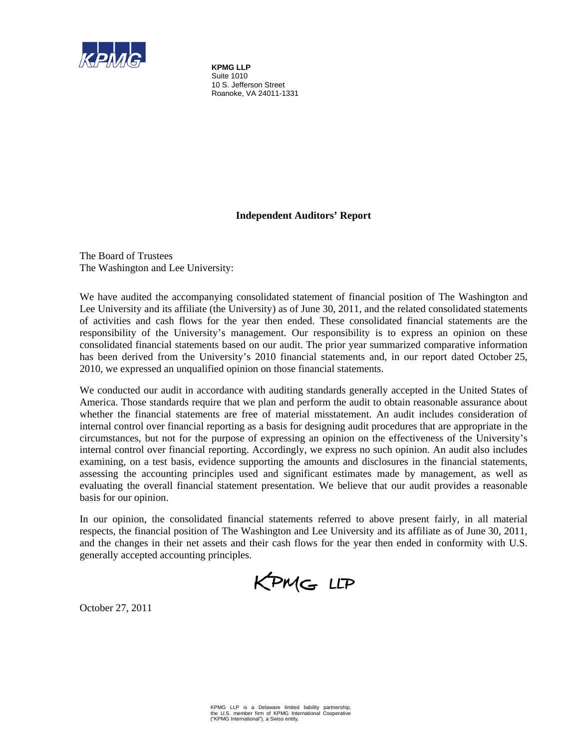

**KPMG LLP** Suite 1010 10 S. Jefferson Street Roanoke, VA 24011-1331

# **Independent Auditors' Report**

The Board of Trustees The Washington and Lee University:

We have audited the accompanying consolidated statement of financial position of The Washington and Lee University and its affiliate (the University) as of June 30, 2011, and the related consolidated statements of activities and cash flows for the year then ended. These consolidated financial statements are the responsibility of the University's management. Our responsibility is to express an opinion on these consolidated financial statements based on our audit. The prior year summarized comparative information has been derived from the University's 2010 financial statements and, in our report dated October 25, 2010, we expressed an unqualified opinion on those financial statements.

We conducted our audit in accordance with auditing standards generally accepted in the United States of America. Those standards require that we plan and perform the audit to obtain reasonable assurance about whether the financial statements are free of material misstatement. An audit includes consideration of internal control over financial reporting as a basis for designing audit procedures that are appropriate in the circumstances, but not for the purpose of expressing an opinion on the effectiveness of the University's internal control over financial reporting. Accordingly, we express no such opinion. An audit also includes examining, on a test basis, evidence supporting the amounts and disclosures in the financial statements, assessing the accounting principles used and significant estimates made by management, as well as evaluating the overall financial statement presentation. We believe that our audit provides a reasonable basis for our opinion.

In our opinion, the consolidated financial statements referred to above present fairly, in all material respects, the financial position of The Washington and Lee University and its affiliate as of June 30, 2011, and the changes in their net assets and their cash flows for the year then ended in conformity with U.S. generally accepted accounting principles.



October 27, 2011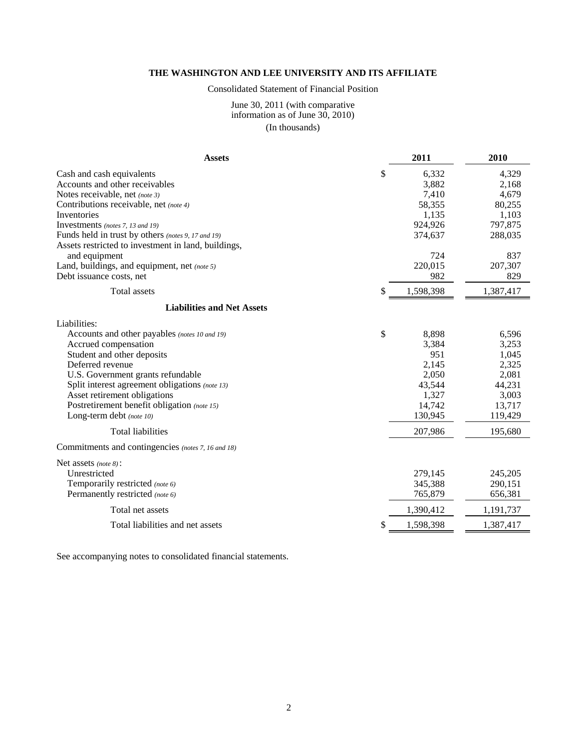# Consolidated Statement of Financial Position

#### June 30, 2011 (with comparative information as of June 30, 2010) (In thousands)

| <b>Assets</b>                                       | 2011      | 2010      |
|-----------------------------------------------------|-----------|-----------|
| \$<br>Cash and cash equivalents                     | 6,332     | 4,329     |
| Accounts and other receivables                      | 3,882     | 2,168     |
| Notes receivable, net (note 3)                      | 7,410     | 4,679     |
| Contributions receivable, net (note 4)              | 58,355    | 80,255    |
| Inventories                                         | 1,135     | 1,103     |
| Investments (notes 7, 13 and 19)                    | 924,926   | 797,875   |
| Funds held in trust by others (notes 9, 17 and 19)  | 374,637   | 288,035   |
| Assets restricted to investment in land, buildings, |           |           |
| and equipment                                       | 724       | 837       |
| Land, buildings, and equipment, net (note 5)        | 220,015   | 207,307   |
| Debt issuance costs, net                            | 982       | 829       |
| <b>Total assets</b><br>S                            | 1,598,398 | 1,387,417 |
| <b>Liabilities and Net Assets</b>                   |           |           |
| Liabilities:                                        |           |           |
| \$<br>Accounts and other payables (notes 10 and 19) | 8,898     | 6,596     |
| Accrued compensation                                | 3,384     | 3,253     |
| Student and other deposits                          | 951       | 1,045     |
| Deferred revenue                                    | 2,145     | 2,325     |
| U.S. Government grants refundable                   | 2,050     | 2,081     |
| Split interest agreement obligations (note 13)      | 43,544    | 44,231    |
| Asset retirement obligations                        | 1,327     | 3,003     |
| Postretirement benefit obligation (note 15)         | 14,742    | 13,717    |
| Long-term debt (note 10)                            | 130,945   | 119,429   |
| <b>Total liabilities</b>                            | 207,986   | 195,680   |
| Commitments and contingencies (notes 7, 16 and 18)  |           |           |
| Net assets (note 8):                                |           |           |
| Unrestricted                                        | 279,145   | 245,205   |
| Temporarily restricted (note 6)                     | 345,388   | 290,151   |
| Permanently restricted (note 6)                     | 765,879   | 656,381   |
| Total net assets                                    | 1,390,412 | 1,191,737 |
| \$<br>Total liabilities and net assets              | 1,598,398 | 1,387,417 |

See accompanying notes to consolidated financial statements.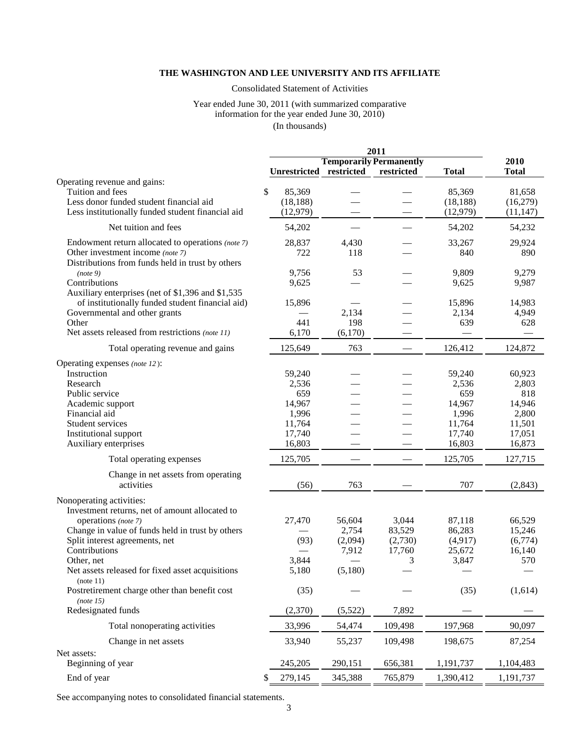# Consolidated Statement of Activities

#### Year ended June 30, 2011 (with summarized comparative information for the year ended June 30, 2010) (In thousands)

|                                                                                      |                         |         | 2011                           |              |              |
|--------------------------------------------------------------------------------------|-------------------------|---------|--------------------------------|--------------|--------------|
|                                                                                      |                         |         | <b>Temporarily Permanently</b> |              | 2010         |
|                                                                                      | Unrestricted restricted |         | restricted                     | <b>Total</b> | <b>Total</b> |
| Operating revenue and gains:                                                         |                         |         |                                |              |              |
| \$<br>Tuition and fees                                                               | 85,369                  |         |                                | 85,369       | 81,658       |
| Less donor funded student financial aid                                              | (18, 188)               |         |                                | (18, 188)    | (16,279)     |
| Less institutionally funded student financial aid                                    | (12, 979)               |         |                                | (12,979)     | (11, 147)    |
| Net tuition and fees                                                                 | 54,202                  |         |                                | 54,202       | 54,232       |
| Endowment return allocated to operations (note 7)                                    | 28,837                  | 4,430   |                                | 33,267       | 29,924       |
| Other investment income (note 7)<br>Distributions from funds held in trust by others | 722                     | 118     |                                | 840          | 890          |
| (note 9)                                                                             | 9,756                   | 53      |                                | 9,809        | 9,279        |
| Contributions                                                                        | 9,625                   |         |                                | 9,625        | 9,987        |
| Auxiliary enterprises (net of \$1,396 and \$1,535                                    |                         |         |                                |              |              |
| of institutionally funded student financial aid)                                     | 15,896                  |         |                                | 15,896       | 14,983       |
| Governmental and other grants                                                        |                         | 2,134   |                                | 2,134        | 4,949        |
| Other                                                                                | 441                     | 198     |                                | 639          | 628          |
| Net assets released from restrictions (note 11)                                      | 6,170                   | (6,170) |                                |              |              |
| Total operating revenue and gains                                                    | 125,649                 | 763     |                                | 126,412      | 124,872      |
| Operating expenses (note 12):                                                        |                         |         |                                |              |              |
| Instruction                                                                          | 59,240                  |         |                                | 59,240       | 60,923       |
| Research                                                                             | 2,536                   |         |                                | 2,536        | 2,803        |
| Public service                                                                       | 659                     |         |                                | 659          | 818          |
| Academic support                                                                     | 14,967                  |         |                                | 14,967       | 14,946       |
| Financial aid                                                                        | 1,996                   |         |                                | 1,996        | 2,800        |
| Student services                                                                     | 11,764                  |         |                                | 11,764       | 11,501       |
| Institutional support                                                                | 17,740                  |         |                                | 17,740       | 17,051       |
| Auxiliary enterprises                                                                | 16,803                  |         |                                | 16,803       | 16,873       |
| Total operating expenses                                                             | 125,705                 |         |                                | 125,705      | 127,715      |
| Change in net assets from operating                                                  |                         |         |                                |              |              |
| activities                                                                           | (56)                    | 763     |                                | 707          | (2, 843)     |
| Nonoperating activities:                                                             |                         |         |                                |              |              |
| Investment returns, net of amount allocated to                                       |                         |         |                                |              |              |
| operations (note 7)                                                                  | 27,470                  | 56,604  | 3,044                          | 87,118       | 66,529       |
| Change in value of funds held in trust by others                                     |                         | 2,754   | 83,529                         | 86,283       | 15,246       |
| Split interest agreements, net                                                       | (93)                    | (2,094) | (2,730)                        | (4,917)      | (6,774)      |
| Contributions                                                                        |                         | 7,912   | 17,760                         | 25,672       | 16,140       |
| Other, net                                                                           | 3,844                   |         | 3                              | 3,847        | 570          |
| Net assets released for fixed asset acquisitions<br>(note 11)                        | 5,180                   | (5,180) |                                |              |              |
| Postretirement charge other than benefit cost                                        | (35)                    |         |                                | (35)         | (1,614)      |
| (note 15)                                                                            |                         |         |                                |              |              |
| Redesignated funds                                                                   | (2,370)                 | (5,522) | 7,892                          |              |              |
| Total nonoperating activities                                                        | 33,996                  | 54,474  | 109,498                        | 197,968      | 90,097       |
| Change in net assets                                                                 | 33,940                  | 55,237  | 109,498                        | 198,675      | 87,254       |
| Net assets:                                                                          |                         |         |                                |              |              |
| Beginning of year                                                                    | 245,205                 | 290,151 | 656,381                        | 1,191,737    | 1,104,483    |
| End of year<br>S                                                                     | 279,145                 | 345,388 | 765,879                        | 1,390,412    | 1,191,737    |
|                                                                                      |                         |         |                                |              |              |

See accompanying notes to consolidated financial statements.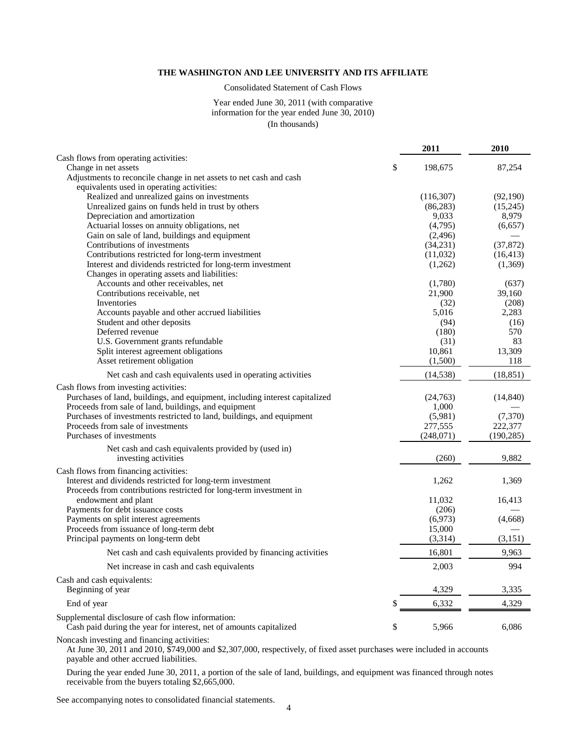Consolidated Statement of Cash Flows

#### Year ended June 30, 2011 (with comparative information for the year ended June 30, 2010) (In thousands)

|                                                                               | 2011                  | 2010       |
|-------------------------------------------------------------------------------|-----------------------|------------|
| Cash flows from operating activities:                                         |                       |            |
| Change in net assets                                                          | \$<br>198,675         | 87,254     |
| Adjustments to reconcile change in net assets to net cash and cash            |                       |            |
| equivalents used in operating activities:                                     |                       |            |
| Realized and unrealized gains on investments                                  | (116, 307)            | (92,190)   |
| Unrealized gains on funds held in trust by others                             | (86, 283)             | (15,245)   |
| Depreciation and amortization                                                 | 9,033                 | 8,979      |
| Actuarial losses on annuity obligations, net                                  | (4,795)               | (6, 657)   |
| Gain on sale of land, buildings and equipment<br>Contributions of investments | (2, 496)<br>(34, 231) | (37, 872)  |
| Contributions restricted for long-term investment                             | (11,032)              | (16, 413)  |
| Interest and dividends restricted for long-term investment                    | (1,262)               | (1,369)    |
| Changes in operating assets and liabilities:                                  |                       |            |
| Accounts and other receivables, net                                           | (1,780)               | (637)      |
| Contributions receivable, net                                                 | 21,900                | 39,160     |
| Inventories                                                                   | (32)                  | (208)      |
| Accounts payable and other accrued liabilities                                | 5,016                 | 2,283      |
| Student and other deposits                                                    | (94)                  | (16)       |
| Deferred revenue                                                              | (180)                 | 570        |
| U.S. Government grants refundable                                             | (31)                  | 83         |
| Split interest agreement obligations                                          | 10,861                | 13,309     |
| Asset retirement obligation                                                   | (1,500)               | 118        |
| Net cash and cash equivalents used in operating activities                    | (14, 538)             | (18, 851)  |
| Cash flows from investing activities:                                         |                       |            |
| Purchases of land, buildings, and equipment, including interest capitalized   | (24,763)              | (14, 840)  |
| Proceeds from sale of land, buildings, and equipment                          | 1,000                 |            |
| Purchases of investments restricted to land, buildings, and equipment         | (5,981)               | (7,370)    |
| Proceeds from sale of investments                                             | 277,555               | 222,377    |
| Purchases of investments                                                      | (248,071)             | (190, 285) |
| Net cash and cash equivalents provided by (used in)                           |                       |            |
| investing activities                                                          | (260)                 | 9,882      |
| Cash flows from financing activities:                                         |                       |            |
| Interest and dividends restricted for long-term investment                    | 1,262                 | 1,369      |
| Proceeds from contributions restricted for long-term investment in            |                       |            |
| endowment and plant                                                           | 11,032                | 16,413     |
| Payments for debt issuance costs                                              | (206)                 |            |
| Payments on split interest agreements                                         | (6,973)               | (4,668)    |
| Proceeds from issuance of long-term debt                                      | 15,000                |            |
| Principal payments on long-term debt                                          | (3,314)               | (3,151)    |
| Net cash and cash equivalents provided by financing activities                | 16,801                | 9,963      |
| Net increase in cash and cash equivalents                                     | 2,003                 | 994        |
| Cash and cash equivalents:                                                    |                       |            |
| Beginning of year                                                             | 4,329                 | 3,335      |
| End of year                                                                   | \$<br>6,332           | 4,329      |
| Supplemental disclosure of cash flow information:                             |                       |            |
| Cash paid during the year for interest, net of amounts capitalized            | \$<br>5,966           | 6,086      |
|                                                                               |                       |            |

Noncash investing and financing activities:

At June 30, 2011 and 2010, \$749,000 and \$2,307,000, respectively, of fixed asset purchases were included in accounts payable and other accrued liabilities.

During the year ended June 30, 2011, a portion of the sale of land, buildings, and equipment was financed through notes receivable from the buyers totaling \$2,665,000.

See accompanying notes to consolidated financial statements.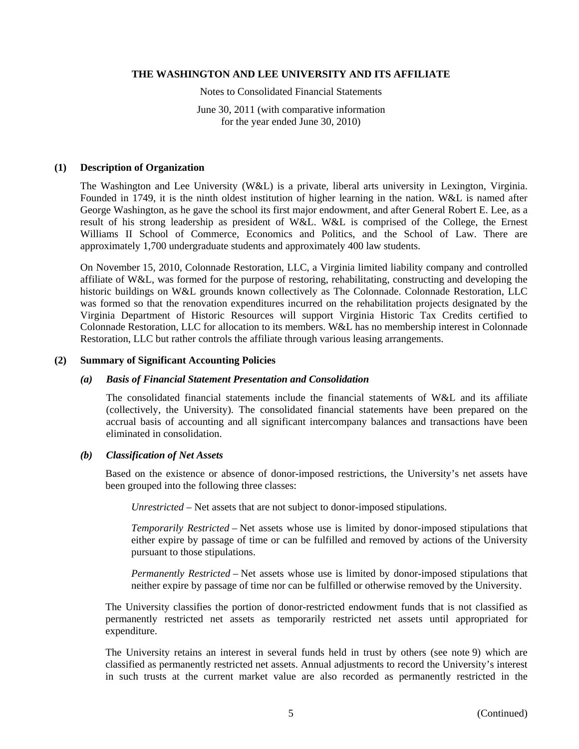Notes to Consolidated Financial Statements

June 30, 2011 (with comparative information for the year ended June 30, 2010)

#### **(1) Description of Organization**

The Washington and Lee University (W&L) is a private, liberal arts university in Lexington, Virginia. Founded in 1749, it is the ninth oldest institution of higher learning in the nation. W&L is named after George Washington, as he gave the school its first major endowment, and after General Robert E. Lee, as a result of his strong leadership as president of W&L. W&L is comprised of the College, the Ernest Williams II School of Commerce, Economics and Politics, and the School of Law. There are approximately 1,700 undergraduate students and approximately 400 law students.

On November 15, 2010, Colonnade Restoration, LLC, a Virginia limited liability company and controlled affiliate of W&L, was formed for the purpose of restoring, rehabilitating, constructing and developing the historic buildings on W&L grounds known collectively as The Colonnade. Colonnade Restoration, LLC was formed so that the renovation expenditures incurred on the rehabilitation projects designated by the Virginia Department of Historic Resources will support Virginia Historic Tax Credits certified to Colonnade Restoration, LLC for allocation to its members. W&L has no membership interest in Colonnade Restoration, LLC but rather controls the affiliate through various leasing arrangements.

#### **(2) Summary of Significant Accounting Policies**

#### *(a) Basis of Financial Statement Presentation and Consolidation*

The consolidated financial statements include the financial statements of W&L and its affiliate (collectively, the University). The consolidated financial statements have been prepared on the accrual basis of accounting and all significant intercompany balances and transactions have been eliminated in consolidation.

# *(b) Classification of Net Assets*

Based on the existence or absence of donor-imposed restrictions, the University's net assets have been grouped into the following three classes:

*Unrestricted* – Net assets that are not subject to donor-imposed stipulations.

*Temporarily Restricted* – Net assets whose use is limited by donor-imposed stipulations that either expire by passage of time or can be fulfilled and removed by actions of the University pursuant to those stipulations.

*Permanently Restricted* – Net assets whose use is limited by donor-imposed stipulations that neither expire by passage of time nor can be fulfilled or otherwise removed by the University.

The University classifies the portion of donor-restricted endowment funds that is not classified as permanently restricted net assets as temporarily restricted net assets until appropriated for expenditure.

The University retains an interest in several funds held in trust by others (see note 9) which are classified as permanently restricted net assets. Annual adjustments to record the University's interest in such trusts at the current market value are also recorded as permanently restricted in the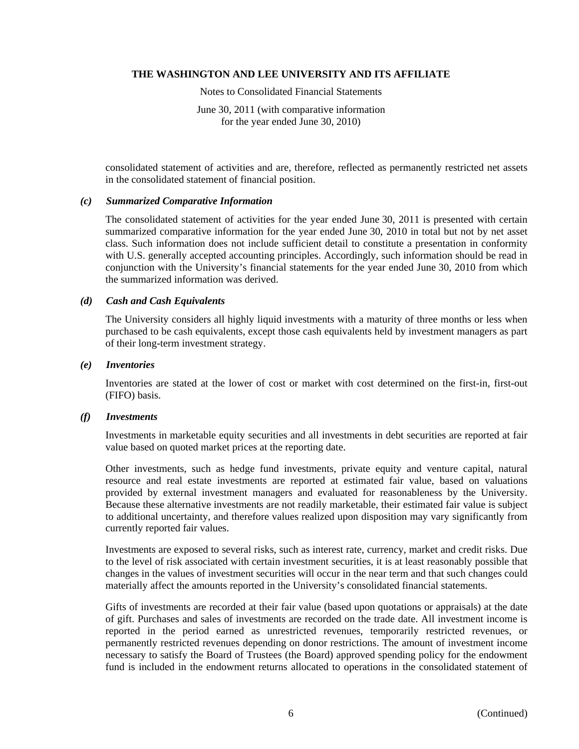Notes to Consolidated Financial Statements

June 30, 2011 (with comparative information for the year ended June 30, 2010)

consolidated statement of activities and are, therefore, reflected as permanently restricted net assets in the consolidated statement of financial position.

# *(c) Summarized Comparative Information*

The consolidated statement of activities for the year ended June 30, 2011 is presented with certain summarized comparative information for the year ended June 30, 2010 in total but not by net asset class. Such information does not include sufficient detail to constitute a presentation in conformity with U.S. generally accepted accounting principles. Accordingly, such information should be read in conjunction with the University's financial statements for the year ended June 30, 2010 from which the summarized information was derived.

### *(d) Cash and Cash Equivalents*

The University considers all highly liquid investments with a maturity of three months or less when purchased to be cash equivalents, except those cash equivalents held by investment managers as part of their long-term investment strategy.

#### *(e) Inventories*

Inventories are stated at the lower of cost or market with cost determined on the first-in, first-out (FIFO) basis.

# *(f) Investments*

Investments in marketable equity securities and all investments in debt securities are reported at fair value based on quoted market prices at the reporting date.

Other investments, such as hedge fund investments, private equity and venture capital, natural resource and real estate investments are reported at estimated fair value, based on valuations provided by external investment managers and evaluated for reasonableness by the University. Because these alternative investments are not readily marketable, their estimated fair value is subject to additional uncertainty, and therefore values realized upon disposition may vary significantly from currently reported fair values.

Investments are exposed to several risks, such as interest rate, currency, market and credit risks. Due to the level of risk associated with certain investment securities, it is at least reasonably possible that changes in the values of investment securities will occur in the near term and that such changes could materially affect the amounts reported in the University's consolidated financial statements.

Gifts of investments are recorded at their fair value (based upon quotations or appraisals) at the date of gift. Purchases and sales of investments are recorded on the trade date. All investment income is reported in the period earned as unrestricted revenues, temporarily restricted revenues, or permanently restricted revenues depending on donor restrictions. The amount of investment income necessary to satisfy the Board of Trustees (the Board) approved spending policy for the endowment fund is included in the endowment returns allocated to operations in the consolidated statement of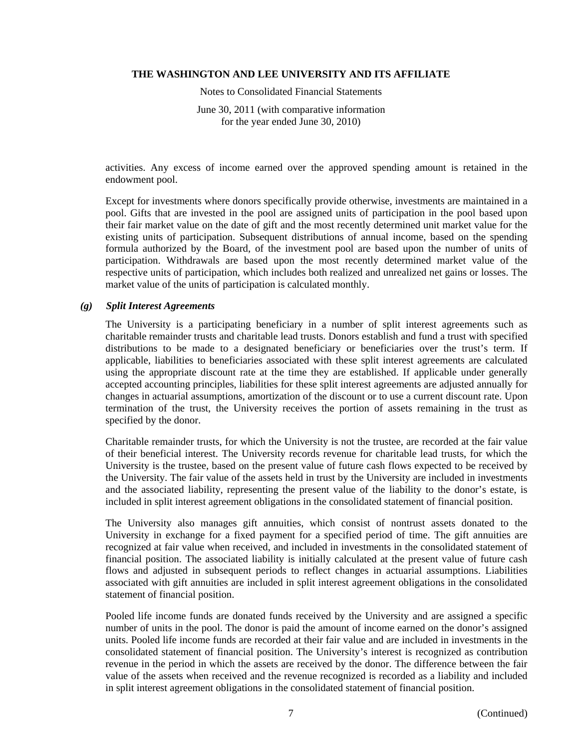Notes to Consolidated Financial Statements

June 30, 2011 (with comparative information for the year ended June 30, 2010)

activities. Any excess of income earned over the approved spending amount is retained in the endowment pool.

Except for investments where donors specifically provide otherwise, investments are maintained in a pool. Gifts that are invested in the pool are assigned units of participation in the pool based upon their fair market value on the date of gift and the most recently determined unit market value for the existing units of participation. Subsequent distributions of annual income, based on the spending formula authorized by the Board, of the investment pool are based upon the number of units of participation. Withdrawals are based upon the most recently determined market value of the respective units of participation, which includes both realized and unrealized net gains or losses. The market value of the units of participation is calculated monthly.

#### *(g) Split Interest Agreements*

The University is a participating beneficiary in a number of split interest agreements such as charitable remainder trusts and charitable lead trusts. Donors establish and fund a trust with specified distributions to be made to a designated beneficiary or beneficiaries over the trust's term. If applicable, liabilities to beneficiaries associated with these split interest agreements are calculated using the appropriate discount rate at the time they are established. If applicable under generally accepted accounting principles, liabilities for these split interest agreements are adjusted annually for changes in actuarial assumptions, amortization of the discount or to use a current discount rate. Upon termination of the trust, the University receives the portion of assets remaining in the trust as specified by the donor.

Charitable remainder trusts, for which the University is not the trustee, are recorded at the fair value of their beneficial interest. The University records revenue for charitable lead trusts, for which the University is the trustee, based on the present value of future cash flows expected to be received by the University. The fair value of the assets held in trust by the University are included in investments and the associated liability, representing the present value of the liability to the donor's estate, is included in split interest agreement obligations in the consolidated statement of financial position.

The University also manages gift annuities, which consist of nontrust assets donated to the University in exchange for a fixed payment for a specified period of time. The gift annuities are recognized at fair value when received, and included in investments in the consolidated statement of financial position. The associated liability is initially calculated at the present value of future cash flows and adjusted in subsequent periods to reflect changes in actuarial assumptions. Liabilities associated with gift annuities are included in split interest agreement obligations in the consolidated statement of financial position.

Pooled life income funds are donated funds received by the University and are assigned a specific number of units in the pool. The donor is paid the amount of income earned on the donor's assigned units. Pooled life income funds are recorded at their fair value and are included in investments in the consolidated statement of financial position. The University's interest is recognized as contribution revenue in the period in which the assets are received by the donor. The difference between the fair value of the assets when received and the revenue recognized is recorded as a liability and included in split interest agreement obligations in the consolidated statement of financial position.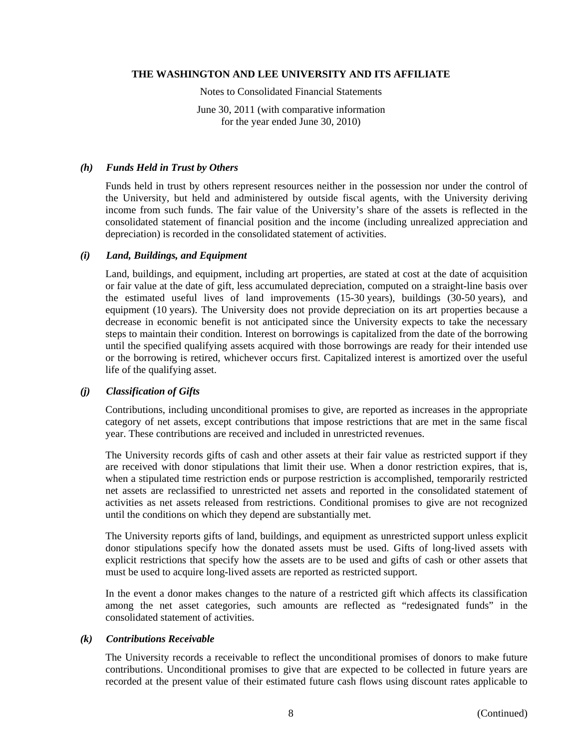Notes to Consolidated Financial Statements

June 30, 2011 (with comparative information for the year ended June 30, 2010)

# *(h) Funds Held in Trust by Others*

Funds held in trust by others represent resources neither in the possession nor under the control of the University, but held and administered by outside fiscal agents, with the University deriving income from such funds. The fair value of the University's share of the assets is reflected in the consolidated statement of financial position and the income (including unrealized appreciation and depreciation) is recorded in the consolidated statement of activities.

# *(i) Land, Buildings, and Equipment*

Land, buildings, and equipment, including art properties, are stated at cost at the date of acquisition or fair value at the date of gift, less accumulated depreciation, computed on a straight-line basis over the estimated useful lives of land improvements (15-30 years), buildings (30-50 years), and equipment (10 years). The University does not provide depreciation on its art properties because a decrease in economic benefit is not anticipated since the University expects to take the necessary steps to maintain their condition. Interest on borrowings is capitalized from the date of the borrowing until the specified qualifying assets acquired with those borrowings are ready for their intended use or the borrowing is retired, whichever occurs first. Capitalized interest is amortized over the useful life of the qualifying asset.

# *(j) Classification of Gifts*

Contributions, including unconditional promises to give, are reported as increases in the appropriate category of net assets, except contributions that impose restrictions that are met in the same fiscal year. These contributions are received and included in unrestricted revenues.

The University records gifts of cash and other assets at their fair value as restricted support if they are received with donor stipulations that limit their use. When a donor restriction expires, that is, when a stipulated time restriction ends or purpose restriction is accomplished, temporarily restricted net assets are reclassified to unrestricted net assets and reported in the consolidated statement of activities as net assets released from restrictions. Conditional promises to give are not recognized until the conditions on which they depend are substantially met.

The University reports gifts of land, buildings, and equipment as unrestricted support unless explicit donor stipulations specify how the donated assets must be used. Gifts of long-lived assets with explicit restrictions that specify how the assets are to be used and gifts of cash or other assets that must be used to acquire long-lived assets are reported as restricted support.

In the event a donor makes changes to the nature of a restricted gift which affects its classification among the net asset categories, such amounts are reflected as "redesignated funds" in the consolidated statement of activities.

# *(k) Contributions Receivable*

The University records a receivable to reflect the unconditional promises of donors to make future contributions. Unconditional promises to give that are expected to be collected in future years are recorded at the present value of their estimated future cash flows using discount rates applicable to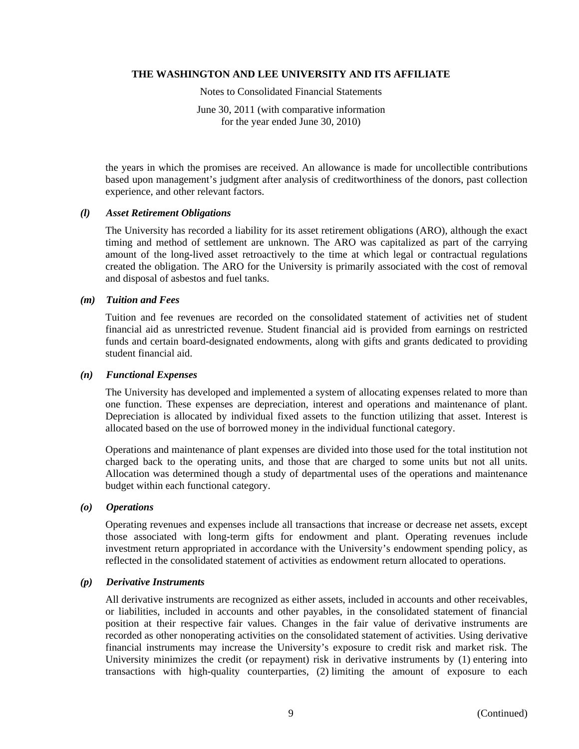Notes to Consolidated Financial Statements

June 30, 2011 (with comparative information for the year ended June 30, 2010)

the years in which the promises are received. An allowance is made for uncollectible contributions based upon management's judgment after analysis of creditworthiness of the donors, past collection experience, and other relevant factors.

#### *(l) Asset Retirement Obligations*

The University has recorded a liability for its asset retirement obligations (ARO), although the exact timing and method of settlement are unknown. The ARO was capitalized as part of the carrying amount of the long-lived asset retroactively to the time at which legal or contractual regulations created the obligation. The ARO for the University is primarily associated with the cost of removal and disposal of asbestos and fuel tanks.

#### *(m) Tuition and Fees*

Tuition and fee revenues are recorded on the consolidated statement of activities net of student financial aid as unrestricted revenue. Student financial aid is provided from earnings on restricted funds and certain board-designated endowments, along with gifts and grants dedicated to providing student financial aid.

#### *(n) Functional Expenses*

The University has developed and implemented a system of allocating expenses related to more than one function. These expenses are depreciation, interest and operations and maintenance of plant. Depreciation is allocated by individual fixed assets to the function utilizing that asset. Interest is allocated based on the use of borrowed money in the individual functional category.

Operations and maintenance of plant expenses are divided into those used for the total institution not charged back to the operating units, and those that are charged to some units but not all units. Allocation was determined though a study of departmental uses of the operations and maintenance budget within each functional category.

# *(o) Operations*

Operating revenues and expenses include all transactions that increase or decrease net assets, except those associated with long-term gifts for endowment and plant. Operating revenues include investment return appropriated in accordance with the University's endowment spending policy, as reflected in the consolidated statement of activities as endowment return allocated to operations.

# *(p) Derivative Instruments*

All derivative instruments are recognized as either assets, included in accounts and other receivables, or liabilities, included in accounts and other payables, in the consolidated statement of financial position at their respective fair values. Changes in the fair value of derivative instruments are recorded as other nonoperating activities on the consolidated statement of activities. Using derivative financial instruments may increase the University's exposure to credit risk and market risk. The University minimizes the credit (or repayment) risk in derivative instruments by (1) entering into transactions with high-quality counterparties, (2) limiting the amount of exposure to each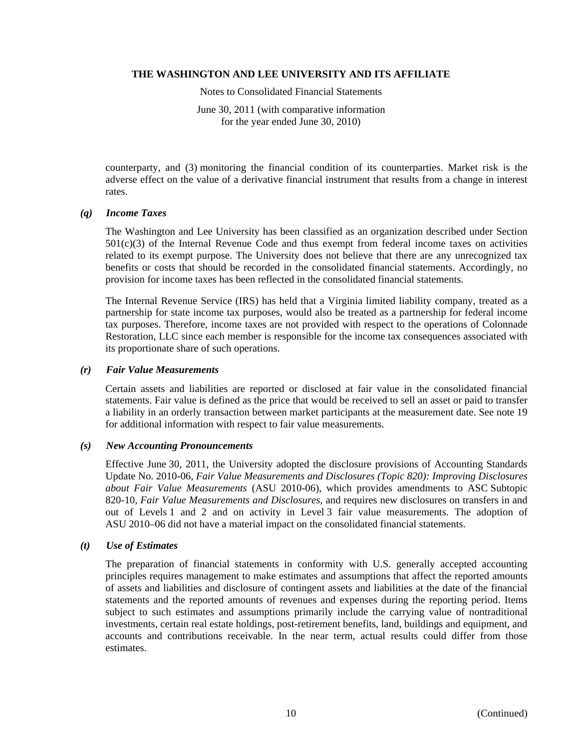Notes to Consolidated Financial Statements

June 30, 2011 (with comparative information for the year ended June 30, 2010)

counterparty, and (3) monitoring the financial condition of its counterparties. Market risk is the adverse effect on the value of a derivative financial instrument that results from a change in interest rates.

# *(q) Income Taxes*

The Washington and Lee University has been classified as an organization described under Section  $501(c)(3)$  of the Internal Revenue Code and thus exempt from federal income taxes on activities related to its exempt purpose. The University does not believe that there are any unrecognized tax benefits or costs that should be recorded in the consolidated financial statements. Accordingly, no provision for income taxes has been reflected in the consolidated financial statements.

The Internal Revenue Service (IRS) has held that a Virginia limited liability company, treated as a partnership for state income tax purposes, would also be treated as a partnership for federal income tax purposes. Therefore, income taxes are not provided with respect to the operations of Colonnade Restoration, LLC since each member is responsible for the income tax consequences associated with its proportionate share of such operations.

# *(r) Fair Value Measurements*

Certain assets and liabilities are reported or disclosed at fair value in the consolidated financial statements. Fair value is defined as the price that would be received to sell an asset or paid to transfer a liability in an orderly transaction between market participants at the measurement date. See note 19 for additional information with respect to fair value measurements.

# *(s) New Accounting Pronouncements*

Effective June 30, 2011, the University adopted the disclosure provisions of Accounting Standards Update No. 2010-06, *Fair Value Measurements and Disclosures (Topic 820): Improving Disclosures about Fair Value Measurements* (ASU 2010-06), which provides amendments to ASC Subtopic 820-10, *Fair Value Measurements and Disclosures*, and requires new disclosures on transfers in and out of Levels 1 and 2 and on activity in Level 3 fair value measurements. The adoption of ASU 2010–06 did not have a material impact on the consolidated financial statements.

# *(t) Use of Estimates*

The preparation of financial statements in conformity with U.S. generally accepted accounting principles requires management to make estimates and assumptions that affect the reported amounts of assets and liabilities and disclosure of contingent assets and liabilities at the date of the financial statements and the reported amounts of revenues and expenses during the reporting period. Items subject to such estimates and assumptions primarily include the carrying value of nontraditional investments, certain real estate holdings, post-retirement benefits, land, buildings and equipment, and accounts and contributions receivable. In the near term, actual results could differ from those estimates.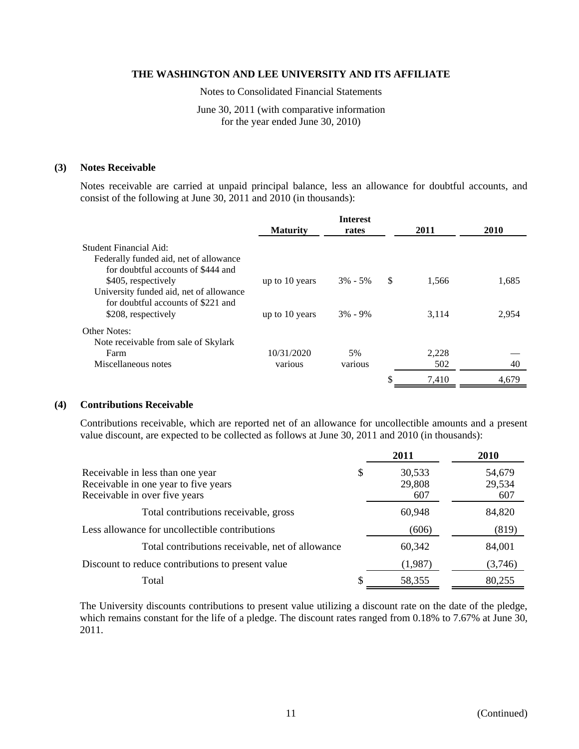Notes to Consolidated Financial Statements

June 30, 2011 (with comparative information for the year ended June 30, 2010)

# **(3) Notes Receivable**

Notes receivable are carried at unpaid principal balance, less an allowance for doubtful accounts, and consist of the following at June 30, 2011 and 2010 (in thousands):

|                                         |                 | <b>Interest</b> |               |       |       |
|-----------------------------------------|-----------------|-----------------|---------------|-------|-------|
|                                         | <b>Maturity</b> | rates           |               | 2011  | 2010  |
| Student Financial Aid:                  |                 |                 |               |       |       |
| Federally funded aid, net of allowance  |                 |                 |               |       |       |
| for doubtful accounts of \$444 and      |                 |                 |               |       |       |
| \$405, respectively                     | up to 10 years  | $3\% - 5\%$     | <sup>\$</sup> | 1.566 | 1,685 |
| University funded aid, net of allowance |                 |                 |               |       |       |
| for doubtful accounts of \$221 and      |                 |                 |               |       |       |
| \$208, respectively                     | up to 10 years  | $3\% - 9\%$     |               | 3.114 | 2.954 |
| <b>Other Notes:</b>                     |                 |                 |               |       |       |
| Note receivable from sale of Skylark    |                 |                 |               |       |       |
| Farm                                    | 10/31/2020      | 5%              |               | 2,228 |       |
| Miscellaneous notes                     | various         | various         |               | 502   | 40    |
|                                         |                 |                 | \$            | 7.410 | 4.679 |

# **(4) Contributions Receivable**

Contributions receivable, which are reported net of an allowance for uncollectible amounts and a present value discount, are expected to be collected as follows at June 30, 2011 and 2010 (in thousands):

|                                                                                                           | 2011                          | 2010                    |
|-----------------------------------------------------------------------------------------------------------|-------------------------------|-------------------------|
| Receivable in less than one year<br>Receivable in one year to five years<br>Receivable in over five years | \$<br>30,533<br>29,808<br>607 | 54,679<br>29,534<br>607 |
| Total contributions receivable, gross                                                                     | 60,948                        | 84,820                  |
| Less allowance for uncollectible contributions                                                            | (606)                         | (819)                   |
| Total contributions receivable, net of allowance                                                          | 60,342                        | 84,001                  |
| Discount to reduce contributions to present value                                                         | (1,987)                       | (3,746)                 |
| Total                                                                                                     | \$<br>58,355                  | 80,255                  |

The University discounts contributions to present value utilizing a discount rate on the date of the pledge, which remains constant for the life of a pledge. The discount rates ranged from 0.18% to 7.67% at June 30, 2011.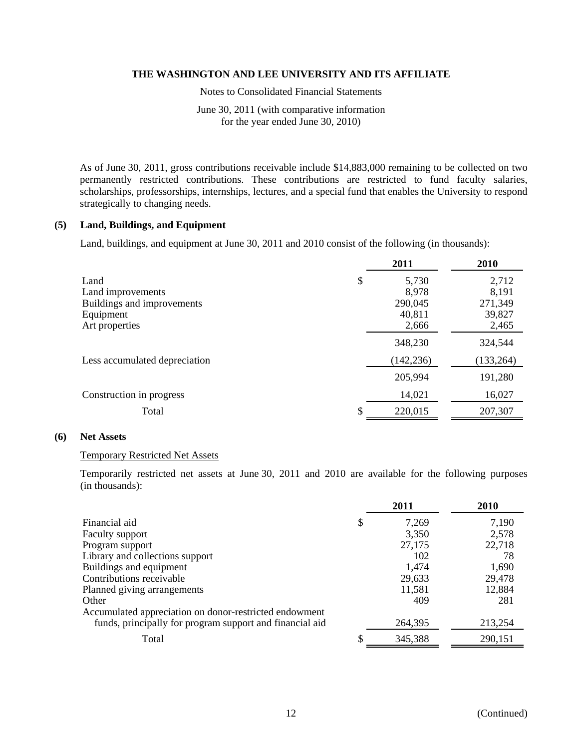Notes to Consolidated Financial Statements

June 30, 2011 (with comparative information for the year ended June 30, 2010)

As of June 30, 2011, gross contributions receivable include \$14,883,000 remaining to be collected on two permanently restricted contributions. These contributions are restricted to fund faculty salaries, scholarships, professorships, internships, lectures, and a special fund that enables the University to respond strategically to changing needs.

# **(5) Land, Buildings, and Equipment**

Land, buildings, and equipment at June 30, 2011 and 2010 consist of the following (in thousands):

|                               | 2011        | 2010       |
|-------------------------------|-------------|------------|
| Land                          | \$<br>5,730 | 2,712      |
| Land improvements             | 8,978       | 8,191      |
| Buildings and improvements    | 290,045     | 271,349    |
| Equipment                     | 40,811      | 39,827     |
| Art properties                | 2,666       | 2,465      |
|                               | 348,230     | 324,544    |
| Less accumulated depreciation | (142, 236)  | (133, 264) |
|                               | 205,994     | 191,280    |
| Construction in progress      | 14,021      | 16,027     |
| Total                         | 220,015     | 207,307    |

# **(6) Net Assets**

#### Temporary Restricted Net Assets

Temporarily restricted net assets at June 30, 2011 and 2010 are available for the following purposes (in thousands):

|                                                          |    | 2011    | 2010    |
|----------------------------------------------------------|----|---------|---------|
| Financial aid                                            | \$ | 7,269   | 7,190   |
| <b>Faculty support</b>                                   |    | 3,350   | 2,578   |
| Program support                                          |    | 27,175  | 22,718  |
| Library and collections support                          |    | 102     | 78      |
| Buildings and equipment                                  |    | 1,474   | 1,690   |
| Contributions receivable                                 |    | 29,633  | 29,478  |
| Planned giving arrangements                              |    | 11,581  | 12,884  |
| Other                                                    |    | 409     | 281     |
| Accumulated appreciation on donor-restricted endowment   |    |         |         |
| funds, principally for program support and financial aid |    | 264,395 | 213,254 |
| Total                                                    | S  | 345,388 | 290,151 |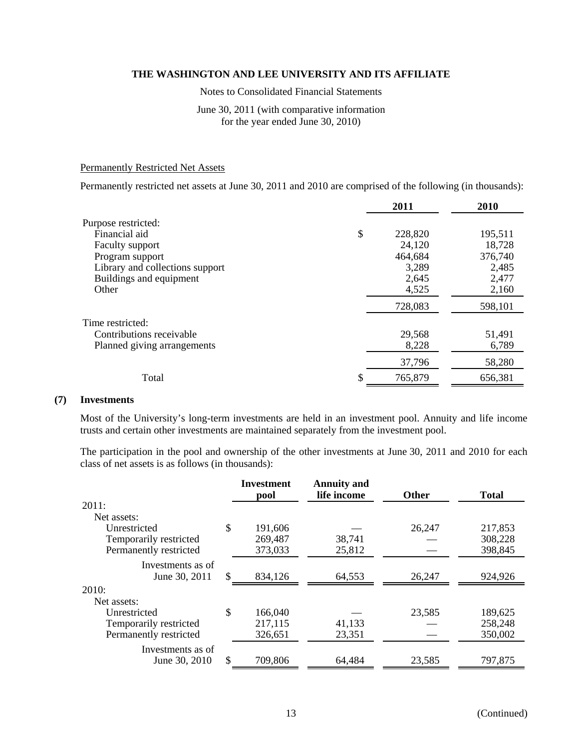Notes to Consolidated Financial Statements

# June 30, 2011 (with comparative information for the year ended June 30, 2010)

# Permanently Restricted Net Assets

Permanently restricted net assets at June 30, 2011 and 2010 are comprised of the following (in thousands):

|                                 | 2011    | 2010    |
|---------------------------------|---------|---------|
| Purpose restricted:             |         |         |
| \$<br>Financial aid             | 228,820 | 195,511 |
| Faculty support                 | 24,120  | 18,728  |
| Program support                 | 464,684 | 376,740 |
| Library and collections support | 3,289   | 2,485   |
| Buildings and equipment         | 2,645   | 2,477   |
| Other                           | 4,525   | 2,160   |
|                                 | 728,083 | 598,101 |
| Time restricted:                |         |         |
| Contributions receivable        | 29,568  | 51,491  |
| Planned giving arrangements     | 8,228   | 6,789   |
|                                 | 37,796  | 58,280  |
| \$<br>Total                     | 765,879 | 656,381 |

#### **(7) Investments**

Most of the University's long-term investments are held in an investment pool. Annuity and life income trusts and certain other investments are maintained separately from the investment pool.

The participation in the pool and ownership of the other investments at June 30, 2011 and 2010 for each class of net assets is as follows (in thousands):

|                        |     | <b>Investment</b><br>pool | <b>Annuity and</b><br>life income | <b>Other</b> | <b>Total</b> |
|------------------------|-----|---------------------------|-----------------------------------|--------------|--------------|
| 2011:                  |     |                           |                                   |              |              |
| Net assets:            |     |                           |                                   |              |              |
| Unrestricted           | \$  | 191,606                   |                                   | 26,247       | 217,853      |
| Temporarily restricted |     | 269,487                   | 38,741                            |              | 308,228      |
| Permanently restricted |     | 373,033                   | 25,812                            |              | 398,845      |
| Investments as of      |     |                           |                                   |              |              |
| June 30, 2011          | \$. | 834,126                   | 64,553                            | 26,247       | 924,926      |
| 2010:                  |     |                           |                                   |              |              |
| Net assets:            |     |                           |                                   |              |              |
| Unrestricted           | \$  | 166,040                   |                                   | 23,585       | 189,625      |
| Temporarily restricted |     | 217,115                   | 41,133                            |              | 258,248      |
| Permanently restricted |     | 326,651                   | 23,351                            |              | 350,002      |
| Investments as of      |     |                           |                                   |              |              |
| June 30, 2010          | \$  | 709,806                   | 64,484                            | 23,585       | 797,875      |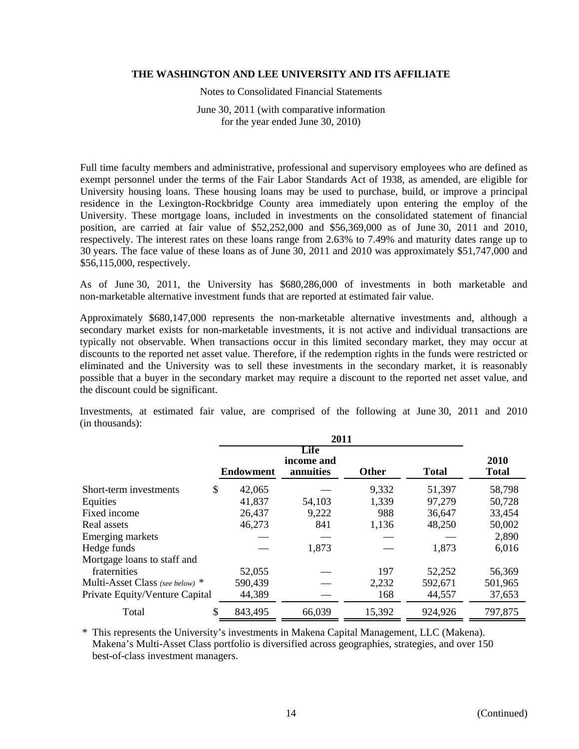Notes to Consolidated Financial Statements

June 30, 2011 (with comparative information for the year ended June 30, 2010)

Full time faculty members and administrative, professional and supervisory employees who are defined as exempt personnel under the terms of the Fair Labor Standards Act of 1938, as amended, are eligible for University housing loans. These housing loans may be used to purchase, build, or improve a principal residence in the Lexington-Rockbridge County area immediately upon entering the employ of the University. These mortgage loans, included in investments on the consolidated statement of financial position, are carried at fair value of \$52,252,000 and \$56,369,000 as of June 30, 2011 and 2010, respectively. The interest rates on these loans range from 2.63% to 7.49% and maturity dates range up to 30 years. The face value of these loans as of June 30, 2011 and 2010 was approximately \$51,747,000 and \$56,115,000, respectively.

As of June 30, 2011, the University has \$680,286,000 of investments in both marketable and non-marketable alternative investment funds that are reported at estimated fair value.

Approximately \$680,147,000 represents the non-marketable alternative investments and, although a secondary market exists for non-marketable investments, it is not active and individual transactions are typically not observable. When transactions occur in this limited secondary market, they may occur at discounts to the reported net asset value. Therefore, if the redemption rights in the funds were restricted or eliminated and the University was to sell these investments in the secondary market, it is reasonably possible that a buyer in the secondary market may require a discount to the reported net asset value, and the discount could be significant.

Investments, at estimated fair value, are comprised of the following at June 30, 2011 and 2010 (in thousands):

|                                 | <b>Endowment</b> | Life<br>income and<br>annuities | <b>Other</b> | <b>Total</b> | 2010<br><b>Total</b> |
|---------------------------------|------------------|---------------------------------|--------------|--------------|----------------------|
| Short-term investments          | \$<br>42,065     |                                 | 9,332        | 51,397       | 58,798               |
| Equities                        | 41,837           | 54,103                          | 1,339        | 97,279       | 50,728               |
| Fixed income                    | 26,437           | 9,222                           | 988          | 36,647       | 33,454               |
| Real assets                     | 46,273           | 841                             | 1,136        | 48,250       | 50,002               |
| Emerging markets                |                  |                                 |              |              | 2,890                |
| Hedge funds                     |                  | 1,873                           |              | 1,873        | 6,016                |
| Mortgage loans to staff and     |                  |                                 |              |              |                      |
| fraternities                    | 52,055           |                                 | 197          | 52,252       | 56,369               |
| Multi-Asset Class (see below) * | 590,439          |                                 | 2,232        | 592,671      | 501,965              |
| Private Equity/Venture Capital  | 44,389           |                                 | 168          | 44,557       | 37,653               |
| Total                           | \$<br>843,495    | 66,039                          | 15,392       | 924,926      | 797,875              |

\* This represents the University's investments in Makena Capital Management, LLC (Makena). Makena's Multi-Asset Class portfolio is diversified across geographies, strategies, and over 150 best-of-class investment managers.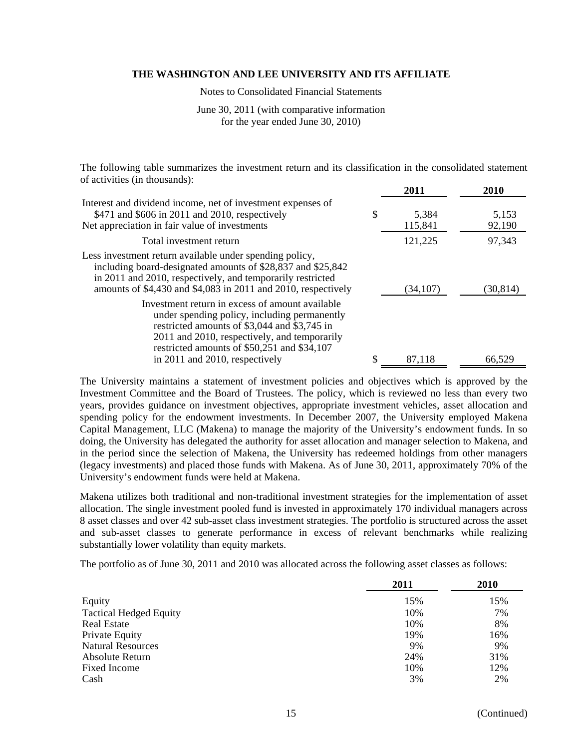Notes to Consolidated Financial Statements

June 30, 2011 (with comparative information for the year ended June 30, 2010)

The following table summarizes the investment return and its classification in the consolidated statement of activities (in thousands):

|                                                                                                                                                                                                                                                                                  | 2011                   | 2010            |
|----------------------------------------------------------------------------------------------------------------------------------------------------------------------------------------------------------------------------------------------------------------------------------|------------------------|-----------------|
| Interest and dividend income, net of investment expenses of<br>\$471 and \$606 in 2011 and 2010, respectively<br>Net appreciation in fair value of investments                                                                                                                   | \$<br>5,384<br>115,841 | 5,153<br>92,190 |
| Total investment return                                                                                                                                                                                                                                                          | 121,225                | 97,343          |
| Less investment return available under spending policy,<br>including board-designated amounts of \$28,837 and \$25,842<br>in 2011 and 2010, respectively, and temporarily restricted<br>amounts of \$4,430 and \$4,083 in 2011 and 2010, respectively                            | (34, 107)              | (30, 814)       |
| Investment return in excess of amount available<br>under spending policy, including permanently<br>restricted amounts of \$3,044 and \$3,745 in<br>2011 and 2010, respectively, and temporarily<br>restricted amounts of \$50,251 and \$34,107<br>in 2011 and 2010, respectively | 87,118                 | 66,529          |

The University maintains a statement of investment policies and objectives which is approved by the Investment Committee and the Board of Trustees. The policy, which is reviewed no less than every two years, provides guidance on investment objectives, appropriate investment vehicles, asset allocation and spending policy for the endowment investments. In December 2007, the University employed Makena Capital Management, LLC (Makena) to manage the majority of the University's endowment funds. In so doing, the University has delegated the authority for asset allocation and manager selection to Makena, and in the period since the selection of Makena, the University has redeemed holdings from other managers (legacy investments) and placed those funds with Makena. As of June 30, 2011, approximately 70% of the University's endowment funds were held at Makena.

Makena utilizes both traditional and non-traditional investment strategies for the implementation of asset allocation. The single investment pooled fund is invested in approximately 170 individual managers across 8 asset classes and over 42 sub-asset class investment strategies. The portfolio is structured across the asset and sub-asset classes to generate performance in excess of relevant benchmarks while realizing substantially lower volatility than equity markets.

The portfolio as of June 30, 2011 and 2010 was allocated across the following asset classes as follows:

|                               | 2011 | 2010 |
|-------------------------------|------|------|
| Equity                        | 15%  | 15%  |
| <b>Tactical Hedged Equity</b> | 10%  | 7%   |
| <b>Real Estate</b>            | 10%  | 8%   |
| Private Equity                | 19%  | 16%  |
| <b>Natural Resources</b>      | 9%   | 9%   |
| Absolute Return               | 24%  | 31%  |
| <b>Fixed Income</b>           | 10%  | 12%  |
| Cash                          | 3%   | 2%   |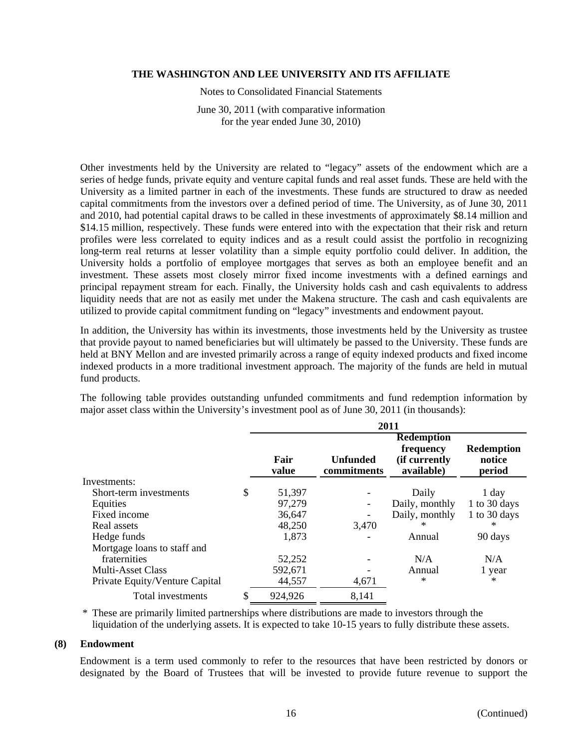Notes to Consolidated Financial Statements

June 30, 2011 (with comparative information for the year ended June 30, 2010)

Other investments held by the University are related to "legacy" assets of the endowment which are a series of hedge funds, private equity and venture capital funds and real asset funds. These are held with the University as a limited partner in each of the investments. These funds are structured to draw as needed capital commitments from the investors over a defined period of time. The University, as of June 30, 2011 and 2010, had potential capital draws to be called in these investments of approximately \$8.14 million and \$14.15 million, respectively. These funds were entered into with the expectation that their risk and return profiles were less correlated to equity indices and as a result could assist the portfolio in recognizing long-term real returns at lesser volatility than a simple equity portfolio could deliver. In addition, the University holds a portfolio of employee mortgages that serves as both an employee benefit and an investment. These assets most closely mirror fixed income investments with a defined earnings and principal repayment stream for each. Finally, the University holds cash and cash equivalents to address liquidity needs that are not as easily met under the Makena structure. The cash and cash equivalents are utilized to provide capital commitment funding on "legacy" investments and endowment payout.

In addition, the University has within its investments, those investments held by the University as trustee that provide payout to named beneficiaries but will ultimately be passed to the University. These funds are held at BNY Mellon and are invested primarily across a range of equity indexed products and fixed income indexed products in a more traditional investment approach. The majority of the funds are held in mutual fund products.

The following table provides outstanding unfunded commitments and fund redemption information by major asset class within the University's investment pool as of June 30, 2011 (in thousands):

|    | 2011          |                         |                                                                |                                       |  |
|----|---------------|-------------------------|----------------------------------------------------------------|---------------------------------------|--|
|    | Fair<br>value | Unfunded<br>commitments | <b>Redemption</b><br>frequency<br>(if currently)<br>available) | <b>Redemption</b><br>notice<br>period |  |
|    |               |                         |                                                                |                                       |  |
| \$ | 51,397        |                         | Daily                                                          | $1$ day                               |  |
|    | 97,279        |                         | Daily, monthly                                                 | 1 to 30 days                          |  |
|    | 36,647        |                         | Daily, monthly                                                 | 1 to 30 days                          |  |
|    | 48,250        | 3,470                   | $^\ast$                                                        | $\ast$                                |  |
|    | 1,873         |                         | Annual                                                         | 90 days                               |  |
|    |               |                         |                                                                |                                       |  |
|    | 52,252        |                         | N/A                                                            | N/A                                   |  |
|    | 592,671       |                         | Annual                                                         | 1 year                                |  |
|    | 44,557        | 4,671                   | $\ast$                                                         | $\ast$                                |  |
| S  | 924,926       | 8,141                   |                                                                |                                       |  |
|    |               |                         |                                                                |                                       |  |

\* These are primarily limited partnerships where distributions are made to investors through the liquidation of the underlying assets. It is expected to take 10-15 years to fully distribute these assets.

# **(8) Endowment**

Endowment is a term used commonly to refer to the resources that have been restricted by donors or designated by the Board of Trustees that will be invested to provide future revenue to support the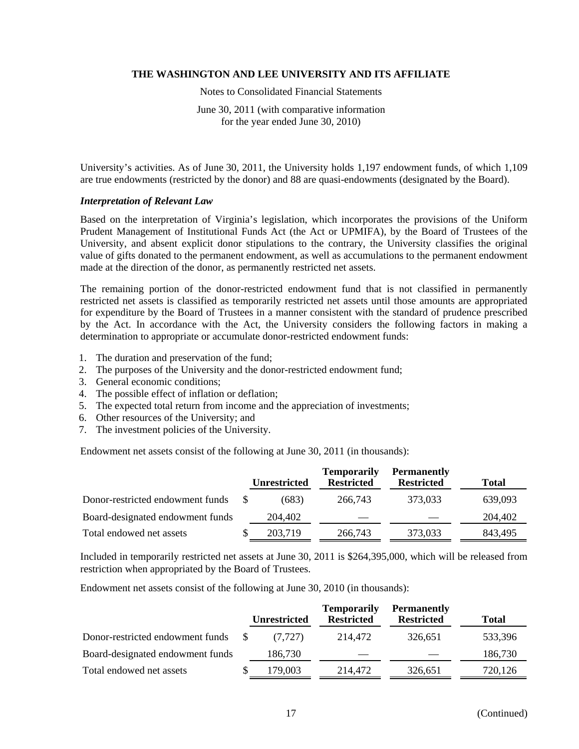Notes to Consolidated Financial Statements

June 30, 2011 (with comparative information for the year ended June 30, 2010)

University's activities. As of June 30, 2011, the University holds 1,197 endowment funds, of which 1,109 are true endowments (restricted by the donor) and 88 are quasi-endowments (designated by the Board).

# *Interpretation of Relevant Law*

Based on the interpretation of Virginia's legislation, which incorporates the provisions of the Uniform Prudent Management of Institutional Funds Act (the Act or UPMIFA), by the Board of Trustees of the University, and absent explicit donor stipulations to the contrary, the University classifies the original value of gifts donated to the permanent endowment, as well as accumulations to the permanent endowment made at the direction of the donor, as permanently restricted net assets.

The remaining portion of the donor-restricted endowment fund that is not classified in permanently restricted net assets is classified as temporarily restricted net assets until those amounts are appropriated for expenditure by the Board of Trustees in a manner consistent with the standard of prudence prescribed by the Act. In accordance with the Act, the University considers the following factors in making a determination to appropriate or accumulate donor-restricted endowment funds:

- 1. The duration and preservation of the fund;
- 2. The purposes of the University and the donor-restricted endowment fund;
- 3. General economic conditions;
- 4. The possible effect of inflation or deflation;
- 5. The expected total return from income and the appreciation of investments;
- 6. Other resources of the University; and
- 7. The investment policies of the University.

Endowment net assets consist of the following at June 30, 2011 (in thousands):

|                                  | <b>Unrestricted</b> | <b>Temporarily</b><br><b>Restricted</b> | <b>Permanently</b><br><b>Restricted</b> | <b>Total</b> |
|----------------------------------|---------------------|-----------------------------------------|-----------------------------------------|--------------|
| Donor-restricted endowment funds | (683)               | 266,743                                 | 373,033                                 | 639,093      |
| Board-designated endowment funds | 204,402             |                                         |                                         | 204,402      |
| Total endowed net assets         | 203.719             | 266,743                                 | 373,033                                 | 843.495      |

Included in temporarily restricted net assets at June 30, 2011 is \$264,395,000, which will be released from restriction when appropriated by the Board of Trustees.

Endowment net assets consist of the following at June 30, 2010 (in thousands):

|                                  | <b>Unrestricted</b> | <b>Temporarily</b><br><b>Restricted</b> | <b>Permanently</b><br><b>Restricted</b> | <b>Total</b> |
|----------------------------------|---------------------|-----------------------------------------|-----------------------------------------|--------------|
| Donor-restricted endowment funds | (7.727)             | 214,472                                 | 326,651                                 | 533,396      |
| Board-designated endowment funds | 186,730             |                                         |                                         | 186,730      |
| Total endowed net assets         | 179,003             | 214.472                                 | 326.651                                 | 720,126      |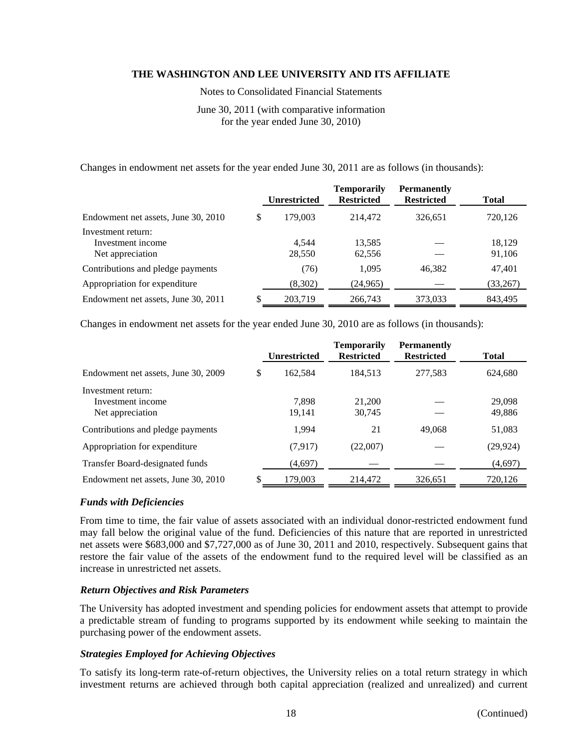Notes to Consolidated Financial Statements

June 30, 2011 (with comparative information for the year ended June 30, 2010)

Changes in endowment net assets for the year ended June 30, 2011 are as follows (in thousands):

|                                                             |   | <b>Unrestricted</b> | Temporarily<br><b>Restricted</b> | <b>Permanently</b><br><b>Restricted</b> | Total            |
|-------------------------------------------------------------|---|---------------------|----------------------------------|-----------------------------------------|------------------|
| Endowment net assets, June 30, 2010                         | S | 179,003             | 214,472                          | 326,651                                 | 720,126          |
| Investment return:<br>Investment income<br>Net appreciation |   | 4.544<br>28,550     | 13,585<br>62,556                 |                                         | 18.129<br>91,106 |
| Contributions and pledge payments                           |   | (76)                | 1,095                            | 46.382                                  | 47,401           |
| Appropriation for expenditure                               |   | (8,302)             | (24, 965)                        |                                         | (33,267)         |
| Endowment net assets, June 30, 2011                         |   | 203,719             | 266,743                          | 373,033                                 | 843,495          |

Changes in endowment net assets for the year ended June 30, 2010 are as follows (in thousands):

|                                     | <b>Unrestricted</b> | <b>Temporarily</b><br><b>Restricted</b> | <b>Permanently</b><br><b>Restricted</b> | <b>Total</b> |
|-------------------------------------|---------------------|-----------------------------------------|-----------------------------------------|--------------|
| Endowment net assets, June 30, 2009 | \$<br>162.584       | 184.513                                 | 277,583                                 | 624,680      |
| Investment return:                  |                     |                                         |                                         |              |
| Investment income                   | 7.898               | 21,200                                  |                                         | 29,098       |
| Net appreciation                    | 19,141              | 30,745                                  |                                         | 49,886       |
| Contributions and pledge payments   | 1,994               | 21                                      | 49,068                                  | 51,083       |
| Appropriation for expenditure       | (7,917)             | (22,007)                                |                                         | (29, 924)    |
| Transfer Board-designated funds     | (4,697)             |                                         |                                         | (4,697)      |
| Endowment net assets, June 30, 2010 | 179,003             | 214,472                                 | 326,651                                 | 720,126      |

# *Funds with Deficiencies*

From time to time, the fair value of assets associated with an individual donor-restricted endowment fund may fall below the original value of the fund. Deficiencies of this nature that are reported in unrestricted net assets were \$683,000 and \$7,727,000 as of June 30, 2011 and 2010, respectively. Subsequent gains that restore the fair value of the assets of the endowment fund to the required level will be classified as an increase in unrestricted net assets.

# *Return Objectives and Risk Parameters*

The University has adopted investment and spending policies for endowment assets that attempt to provide a predictable stream of funding to programs supported by its endowment while seeking to maintain the purchasing power of the endowment assets.

# *Strategies Employed for Achieving Objectives*

To satisfy its long-term rate-of-return objectives, the University relies on a total return strategy in which investment returns are achieved through both capital appreciation (realized and unrealized) and current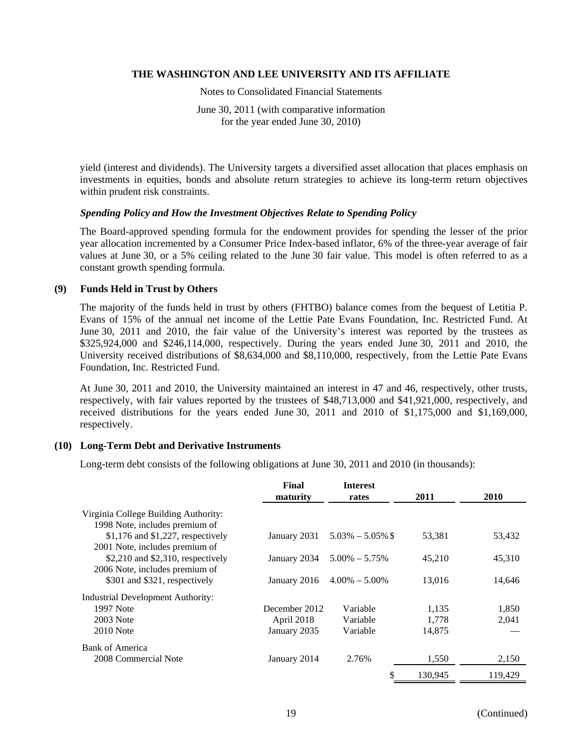Notes to Consolidated Financial Statements

June 30, 2011 (with comparative information for the year ended June 30, 2010)

yield (interest and dividends). The University targets a diversified asset allocation that places emphasis on investments in equities, bonds and absolute return strategies to achieve its long-term return objectives within prudent risk constraints.

# *Spending Policy and How the Investment Objectives Relate to Spending Policy*

The Board-approved spending formula for the endowment provides for spending the lesser of the prior year allocation incremented by a Consumer Price Index-based inflator, 6% of the three-year average of fair values at June 30, or a 5% ceiling related to the June 30 fair value. This model is often referred to as a constant growth spending formula.

# **(9) Funds Held in Trust by Others**

The majority of the funds held in trust by others (FHTBO) balance comes from the bequest of Letitia P. Evans of 15% of the annual net income of the Lettie Pate Evans Foundation, Inc. Restricted Fund. At June 30, 2011 and 2010, the fair value of the University's interest was reported by the trustees as \$325,924,000 and \$246,114,000, respectively. During the years ended June 30, 2011 and 2010, the University received distributions of \$8,634,000 and \$8,110,000, respectively, from the Lettie Pate Evans Foundation, Inc. Restricted Fund.

At June 30, 2011 and 2010, the University maintained an interest in 47 and 46, respectively, other trusts, respectively, with fair values reported by the trustees of \$48,713,000 and \$41,921,000, respectively, and received distributions for the years ended June 30, 2011 and 2010 of \$1,175,000 and \$1,169,000, respectively.

# **(10) Long-Term Debt and Derivative Instruments**

Long-term debt consists of the following obligations at June 30, 2011 and 2010 (in thousands):

|                                          | Final         | <b>Interest</b>   |         |         |
|------------------------------------------|---------------|-------------------|---------|---------|
|                                          | maturity      | rates             | 2011    | 2010    |
| Virginia College Building Authority:     |               |                   |         |         |
| 1998 Note, includes premium of           |               |                   |         |         |
| $$1,176$ and $$1,227$ , respectively     | January 2031  | $5.03\% - 5.05\%$ | 53,381  | 53,432  |
| 2001 Note, includes premium of           |               |                   |         |         |
| $$2,210$ and $$2,310$ , respectively     | January 2034  | $5.00\% - 5.75\%$ | 45,210  | 45,310  |
| 2006 Note, includes premium of           |               |                   |         |         |
| \$301 and \$321, respectively            | January 2016  | $4.00\% - 5.00\%$ | 13.016  | 14,646  |
| <b>Industrial Development Authority:</b> |               |                   |         |         |
| 1997 Note                                | December 2012 | Variable          | 1,135   | 1,850   |
| 2003 Note                                | April 2018    | Variable          | 1,778   | 2,041   |
| $2010$ Note                              | January 2035  | Variable          | 14,875  |         |
| Bank of America                          |               |                   |         |         |
| 2008 Commercial Note                     | January 2014  | 2.76%             | 1.550   | 2,150   |
|                                          |               | \$                | 130.945 | 119.429 |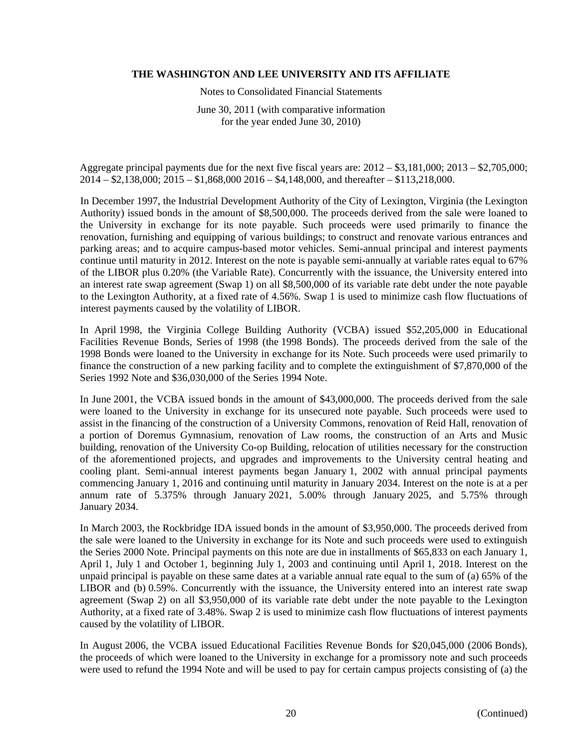Notes to Consolidated Financial Statements

June 30, 2011 (with comparative information for the year ended June 30, 2010)

Aggregate principal payments due for the next five fiscal years are: 2012 – \$3,181,000; 2013 – \$2,705,000; 2014 – \$2,138,000; 2015 – \$1,868,000 2016 – \$4,148,000, and thereafter – \$113,218,000.

In December 1997, the Industrial Development Authority of the City of Lexington, Virginia (the Lexington Authority) issued bonds in the amount of \$8,500,000. The proceeds derived from the sale were loaned to the University in exchange for its note payable. Such proceeds were used primarily to finance the renovation, furnishing and equipping of various buildings; to construct and renovate various entrances and parking areas; and to acquire campus-based motor vehicles. Semi-annual principal and interest payments continue until maturity in 2012. Interest on the note is payable semi-annually at variable rates equal to 67% of the LIBOR plus 0.20% (the Variable Rate). Concurrently with the issuance, the University entered into an interest rate swap agreement (Swap 1) on all \$8,500,000 of its variable rate debt under the note payable to the Lexington Authority, at a fixed rate of 4.56%. Swap 1 is used to minimize cash flow fluctuations of interest payments caused by the volatility of LIBOR.

In April 1998, the Virginia College Building Authority (VCBA) issued \$52,205,000 in Educational Facilities Revenue Bonds, Series of 1998 (the 1998 Bonds). The proceeds derived from the sale of the 1998 Bonds were loaned to the University in exchange for its Note. Such proceeds were used primarily to finance the construction of a new parking facility and to complete the extinguishment of \$7,870,000 of the Series 1992 Note and \$36,030,000 of the Series 1994 Note.

In June 2001, the VCBA issued bonds in the amount of \$43,000,000. The proceeds derived from the sale were loaned to the University in exchange for its unsecured note payable. Such proceeds were used to assist in the financing of the construction of a University Commons, renovation of Reid Hall, renovation of a portion of Doremus Gymnasium, renovation of Law rooms, the construction of an Arts and Music building, renovation of the University Co-op Building, relocation of utilities necessary for the construction of the aforementioned projects, and upgrades and improvements to the University central heating and cooling plant. Semi-annual interest payments began January 1, 2002 with annual principal payments commencing January 1, 2016 and continuing until maturity in January 2034. Interest on the note is at a per annum rate of 5.375% through January 2021, 5.00% through January 2025, and 5.75% through January 2034.

In March 2003, the Rockbridge IDA issued bonds in the amount of \$3,950,000. The proceeds derived from the sale were loaned to the University in exchange for its Note and such proceeds were used to extinguish the Series 2000 Note. Principal payments on this note are due in installments of \$65,833 on each January 1, April 1, July 1 and October 1, beginning July 1, 2003 and continuing until April 1, 2018. Interest on the unpaid principal is payable on these same dates at a variable annual rate equal to the sum of (a) 65% of the LIBOR and (b) 0.59%. Concurrently with the issuance, the University entered into an interest rate swap agreement (Swap 2) on all \$3,950,000 of its variable rate debt under the note payable to the Lexington Authority, at a fixed rate of 3.48%. Swap 2 is used to minimize cash flow fluctuations of interest payments caused by the volatility of LIBOR.

In August 2006, the VCBA issued Educational Facilities Revenue Bonds for \$20,045,000 (2006 Bonds), the proceeds of which were loaned to the University in exchange for a promissory note and such proceeds were used to refund the 1994 Note and will be used to pay for certain campus projects consisting of (a) the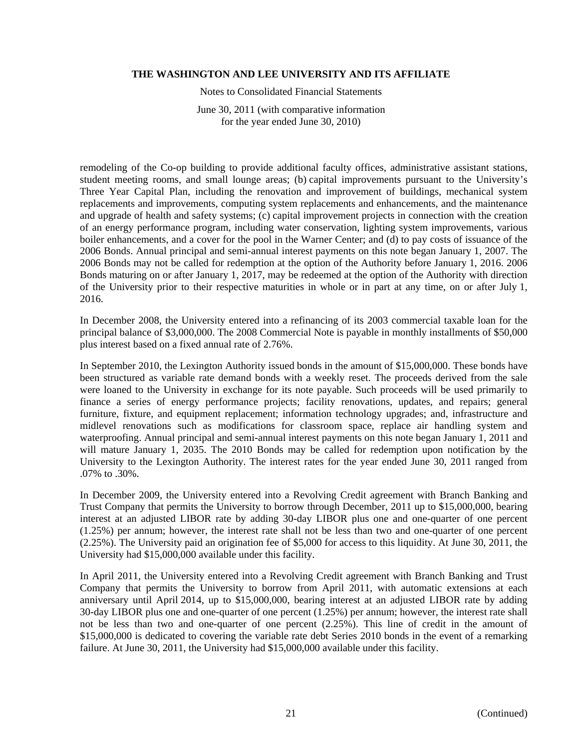Notes to Consolidated Financial Statements

June 30, 2011 (with comparative information for the year ended June 30, 2010)

remodeling of the Co-op building to provide additional faculty offices, administrative assistant stations, student meeting rooms, and small lounge areas; (b) capital improvements pursuant to the University's Three Year Capital Plan, including the renovation and improvement of buildings, mechanical system replacements and improvements, computing system replacements and enhancements, and the maintenance and upgrade of health and safety systems; (c) capital improvement projects in connection with the creation of an energy performance program, including water conservation, lighting system improvements, various boiler enhancements, and a cover for the pool in the Warner Center; and (d) to pay costs of issuance of the 2006 Bonds. Annual principal and semi-annual interest payments on this note began January 1, 2007. The 2006 Bonds may not be called for redemption at the option of the Authority before January 1, 2016. 2006 Bonds maturing on or after January 1, 2017, may be redeemed at the option of the Authority with direction of the University prior to their respective maturities in whole or in part at any time, on or after July 1, 2016.

In December 2008, the University entered into a refinancing of its 2003 commercial taxable loan for the principal balance of \$3,000,000. The 2008 Commercial Note is payable in monthly installments of \$50,000 plus interest based on a fixed annual rate of 2.76%.

In September 2010, the Lexington Authority issued bonds in the amount of \$15,000,000. These bonds have been structured as variable rate demand bonds with a weekly reset. The proceeds derived from the sale were loaned to the University in exchange for its note payable. Such proceeds will be used primarily to finance a series of energy performance projects; facility renovations, updates, and repairs; general furniture, fixture, and equipment replacement; information technology upgrades; and, infrastructure and midlevel renovations such as modifications for classroom space, replace air handling system and waterproofing. Annual principal and semi-annual interest payments on this note began January 1, 2011 and will mature January 1, 2035. The 2010 Bonds may be called for redemption upon notification by the University to the Lexington Authority. The interest rates for the year ended June 30, 2011 ranged from .07% to .30%.

In December 2009, the University entered into a Revolving Credit agreement with Branch Banking and Trust Company that permits the University to borrow through December, 2011 up to \$15,000,000, bearing interest at an adjusted LIBOR rate by adding 30-day LIBOR plus one and one-quarter of one percent (1.25%) per annum; however, the interest rate shall not be less than two and one-quarter of one percent (2.25%). The University paid an origination fee of \$5,000 for access to this liquidity. At June 30, 2011, the University had \$15,000,000 available under this facility.

In April 2011, the University entered into a Revolving Credit agreement with Branch Banking and Trust Company that permits the University to borrow from April 2011, with automatic extensions at each anniversary until April 2014, up to \$15,000,000, bearing interest at an adjusted LIBOR rate by adding 30-day LIBOR plus one and one-quarter of one percent (1.25%) per annum; however, the interest rate shall not be less than two and one-quarter of one percent (2.25%). This line of credit in the amount of \$15,000,000 is dedicated to covering the variable rate debt Series 2010 bonds in the event of a remarking failure. At June 30, 2011, the University had \$15,000,000 available under this facility.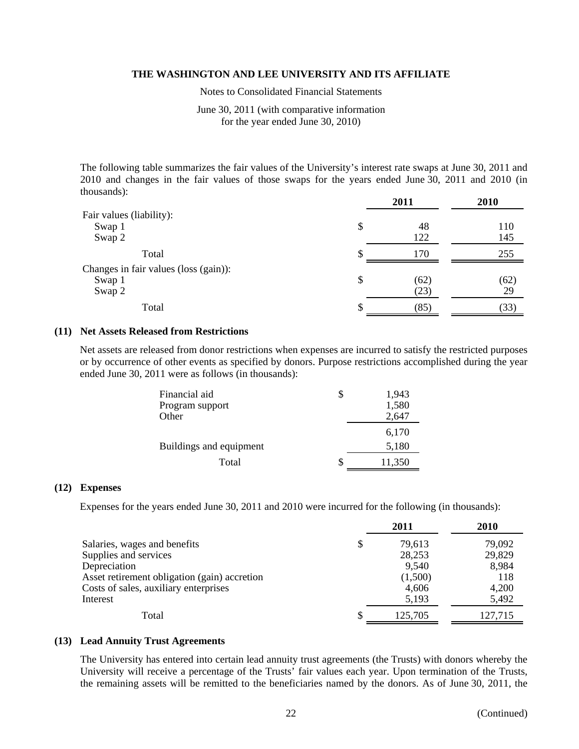Notes to Consolidated Financial Statements

June 30, 2011 (with comparative information for the year ended June 30, 2010)

The following table summarizes the fair values of the University's interest rate swaps at June 30, 2011 and 2010 and changes in the fair values of those swaps for the years ended June 30, 2011 and 2010 (in thousands):

|                                       |    | 2011 | 2010 |
|---------------------------------------|----|------|------|
| Fair values (liability):              |    |      |      |
| Swap 1                                | \$ | 48   | 110  |
| Swap 2                                |    | 122  | 145  |
| Total                                 | S  | 170  | 255  |
| Changes in fair values (loss (gain)): |    |      |      |
| Swap 1                                | \$ | (62) | (62) |
| Swap 2                                |    | (23) | 29   |
| Total                                 | S  | (85) | (33) |

# **(11) Net Assets Released from Restrictions**

Net assets are released from donor restrictions when expenses are incurred to satisfy the restricted purposes or by occurrence of other events as specified by donors. Purpose restrictions accomplished during the year ended June 30, 2011 were as follows (in thousands):

| Financial aid           | 1,943  |
|-------------------------|--------|
| Program support         | 1,580  |
| Other                   | 2,647  |
|                         | 6,170  |
| Buildings and equipment | 5,180  |
| Total                   | 11,350 |

#### **(12) Expenses**

Expenses for the years ended June 30, 2011 and 2010 were incurred for the following (in thousands):

|                                              |   | 2011    | 2010    |
|----------------------------------------------|---|---------|---------|
| Salaries, wages and benefits                 | S | 79,613  | 79,092  |
| Supplies and services                        |   | 28,253  | 29,829  |
| Depreciation                                 |   | 9,540   | 8,984   |
| Asset retirement obligation (gain) accretion |   | (1,500) | 118     |
| Costs of sales, auxiliary enterprises        |   | 4,606   | 4,200   |
| Interest                                     |   | 5,193   | 5,492   |
| Total                                        |   | 125,705 | 127,715 |

# **(13) Lead Annuity Trust Agreements**

The University has entered into certain lead annuity trust agreements (the Trusts) with donors whereby the University will receive a percentage of the Trusts' fair values each year. Upon termination of the Trusts, the remaining assets will be remitted to the beneficiaries named by the donors. As of June 30, 2011, the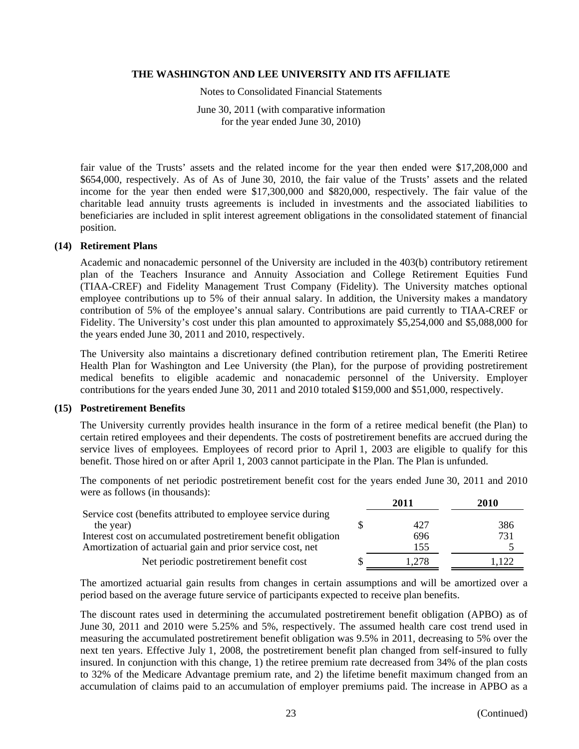Notes to Consolidated Financial Statements

June 30, 2011 (with comparative information for the year ended June 30, 2010)

fair value of the Trusts' assets and the related income for the year then ended were \$17,208,000 and \$654,000, respectively. As of As of June 30, 2010, the fair value of the Trusts' assets and the related income for the year then ended were \$17,300,000 and \$820,000, respectively. The fair value of the charitable lead annuity trusts agreements is included in investments and the associated liabilities to beneficiaries are included in split interest agreement obligations in the consolidated statement of financial position.

#### **(14) Retirement Plans**

Academic and nonacademic personnel of the University are included in the 403(b) contributory retirement plan of the Teachers Insurance and Annuity Association and College Retirement Equities Fund (TIAA-CREF) and Fidelity Management Trust Company (Fidelity). The University matches optional employee contributions up to 5% of their annual salary. In addition, the University makes a mandatory contribution of 5% of the employee's annual salary. Contributions are paid currently to TIAA-CREF or Fidelity. The University's cost under this plan amounted to approximately \$5,254,000 and \$5,088,000 for the years ended June 30, 2011 and 2010, respectively.

The University also maintains a discretionary defined contribution retirement plan, The Emeriti Retiree Health Plan for Washington and Lee University (the Plan), for the purpose of providing postretirement medical benefits to eligible academic and nonacademic personnel of the University. Employer contributions for the years ended June 30, 2011 and 2010 totaled \$159,000 and \$51,000, respectively.

## **(15) Postretirement Benefits**

The University currently provides health insurance in the form of a retiree medical benefit (the Plan) to certain retired employees and their dependents. The costs of postretirement benefits are accrued during the service lives of employees. Employees of record prior to April 1, 2003 are eligible to qualify for this benefit. Those hired on or after April 1, 2003 cannot participate in the Plan. The Plan is unfunded.

The components of net periodic postretirement benefit cost for the years ended June 30, 2011 and 2010 were as follows (in thousands):

|                                                                | 2011  | 2010 |
|----------------------------------------------------------------|-------|------|
| Service cost (benefits attributed to employee service during   |       |      |
| the year)                                                      | 427   | 386  |
| Interest cost on accumulated postretirement benefit obligation | 696   | 731  |
| Amortization of actuarial gain and prior service cost, net     | 155   |      |
| Net periodic postretirement benefit cost                       | 1.278 |      |

The amortized actuarial gain results from changes in certain assumptions and will be amortized over a period based on the average future service of participants expected to receive plan benefits.

The discount rates used in determining the accumulated postretirement benefit obligation (APBO) as of June 30, 2011 and 2010 were 5.25% and 5%, respectively. The assumed health care cost trend used in measuring the accumulated postretirement benefit obligation was 9.5% in 2011, decreasing to 5% over the next ten years. Effective July 1, 2008, the postretirement benefit plan changed from self-insured to fully insured. In conjunction with this change, 1) the retiree premium rate decreased from 34% of the plan costs to 32% of the Medicare Advantage premium rate, and 2) the lifetime benefit maximum changed from an accumulation of claims paid to an accumulation of employer premiums paid. The increase in APBO as a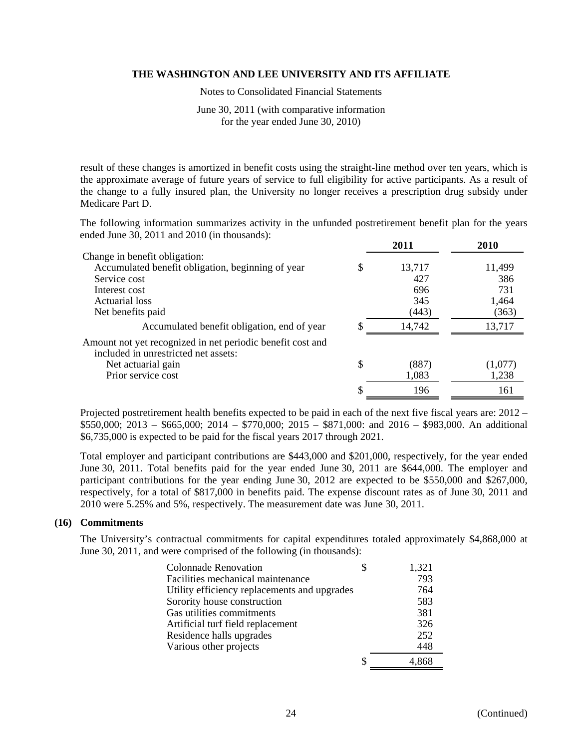Notes to Consolidated Financial Statements

June 30, 2011 (with comparative information for the year ended June 30, 2010)

result of these changes is amortized in benefit costs using the straight-line method over ten years, which is the approximate average of future years of service to full eligibility for active participants. As a result of the change to a fully insured plan, the University no longer receives a prescription drug subsidy under Medicare Part D.

The following information summarizes activity in the unfunded postretirement benefit plan for the years ended June 30, 2011 and 2010 (in thousands):

|                                                                                                    |    | 2011   | 2010    |
|----------------------------------------------------------------------------------------------------|----|--------|---------|
| Change in benefit obligation:                                                                      |    |        |         |
| Accumulated benefit obligation, beginning of year                                                  | S  | 13,717 | 11,499  |
| Service cost                                                                                       |    | 427    | 386     |
| Interest cost                                                                                      |    | 696    | 731     |
| Actuarial loss                                                                                     |    | 345    | 1,464   |
| Net benefits paid                                                                                  |    | (443)  | (363)   |
| Accumulated benefit obligation, end of year                                                        |    | 14,742 | 13,717  |
| Amount not yet recognized in net periodic benefit cost and<br>included in unrestricted net assets: |    |        |         |
| Net actuarial gain                                                                                 | \$ | (887)  | (1,077) |
| Prior service cost                                                                                 |    | 1,083  | 1,238   |
|                                                                                                    |    | 196    | 161     |

Projected postretirement health benefits expected to be paid in each of the next five fiscal years are: 2012 – \$550,000; 2013 – \$665,000; 2014 – \$770,000; 2015 – \$871,000: and 2016 – \$983,000. An additional \$6,735,000 is expected to be paid for the fiscal years 2017 through 2021.

Total employer and participant contributions are \$443,000 and \$201,000, respectively, for the year ended June 30, 2011. Total benefits paid for the year ended June 30, 2011 are \$644,000. The employer and participant contributions for the year ending June 30, 2012 are expected to be \$550,000 and \$267,000, respectively, for a total of \$817,000 in benefits paid. The expense discount rates as of June 30, 2011 and 2010 were 5.25% and 5%, respectively. The measurement date was June 30, 2011.

# **(16) Commitments**

The University's contractual commitments for capital expenditures totaled approximately \$4,868,000 at June 30, 2011, and were comprised of the following (in thousands):

| <b>Colonnade Renovation</b>                  | 1,321 |
|----------------------------------------------|-------|
| Facilities mechanical maintenance            | 793   |
| Utility efficiency replacements and upgrades | 764   |
| Sorority house construction                  | 583   |
| Gas utilities commitments                    | 381   |
| Artificial turf field replacement            | 326   |
| Residence halls upgrades                     | 252   |
| Various other projects                       | 448   |
|                                              |       |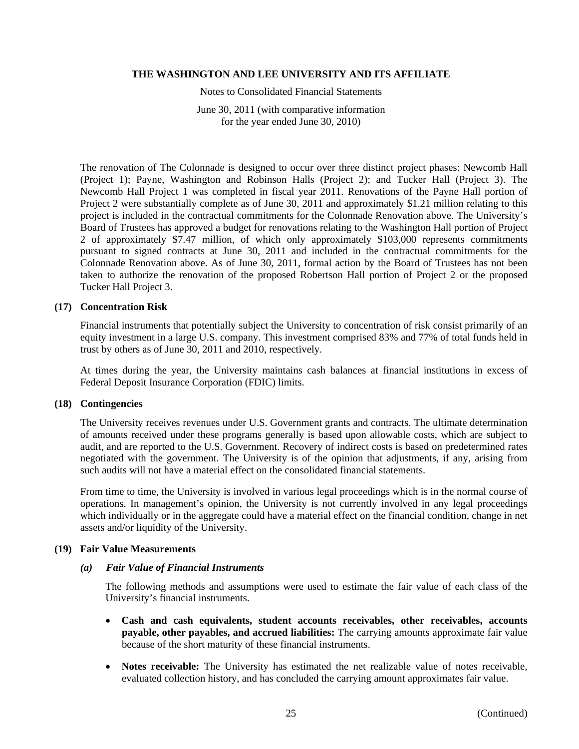Notes to Consolidated Financial Statements

June 30, 2011 (with comparative information for the year ended June 30, 2010)

The renovation of The Colonnade is designed to occur over three distinct project phases: Newcomb Hall (Project 1); Payne, Washington and Robinson Halls (Project 2); and Tucker Hall (Project 3). The Newcomb Hall Project 1 was completed in fiscal year 2011. Renovations of the Payne Hall portion of Project 2 were substantially complete as of June 30, 2011 and approximately \$1.21 million relating to this project is included in the contractual commitments for the Colonnade Renovation above. The University's Board of Trustees has approved a budget for renovations relating to the Washington Hall portion of Project 2 of approximately \$7.47 million, of which only approximately \$103,000 represents commitments pursuant to signed contracts at June 30, 2011 and included in the contractual commitments for the Colonnade Renovation above. As of June 30, 2011, formal action by the Board of Trustees has not been taken to authorize the renovation of the proposed Robertson Hall portion of Project 2 or the proposed Tucker Hall Project 3.

# **(17) Concentration Risk**

Financial instruments that potentially subject the University to concentration of risk consist primarily of an equity investment in a large U.S. company. This investment comprised 83% and 77% of total funds held in trust by others as of June 30, 2011 and 2010, respectively.

At times during the year, the University maintains cash balances at financial institutions in excess of Federal Deposit Insurance Corporation (FDIC) limits.

#### **(18) Contingencies**

The University receives revenues under U.S. Government grants and contracts. The ultimate determination of amounts received under these programs generally is based upon allowable costs, which are subject to audit, and are reported to the U.S. Government. Recovery of indirect costs is based on predetermined rates negotiated with the government. The University is of the opinion that adjustments, if any, arising from such audits will not have a material effect on the consolidated financial statements.

From time to time, the University is involved in various legal proceedings which is in the normal course of operations. In management's opinion, the University is not currently involved in any legal proceedings which individually or in the aggregate could have a material effect on the financial condition, change in net assets and/or liquidity of the University.

# **(19) Fair Value Measurements**

#### *(a) Fair Value of Financial Instruments*

 The following methods and assumptions were used to estimate the fair value of each class of the University's financial instruments.

- **Cash and cash equivalents, student accounts receivables, other receivables, accounts payable, other payables, and accrued liabilities:** The carrying amounts approximate fair value because of the short maturity of these financial instruments.
- **Notes receivable:** The University has estimated the net realizable value of notes receivable, evaluated collection history, and has concluded the carrying amount approximates fair value.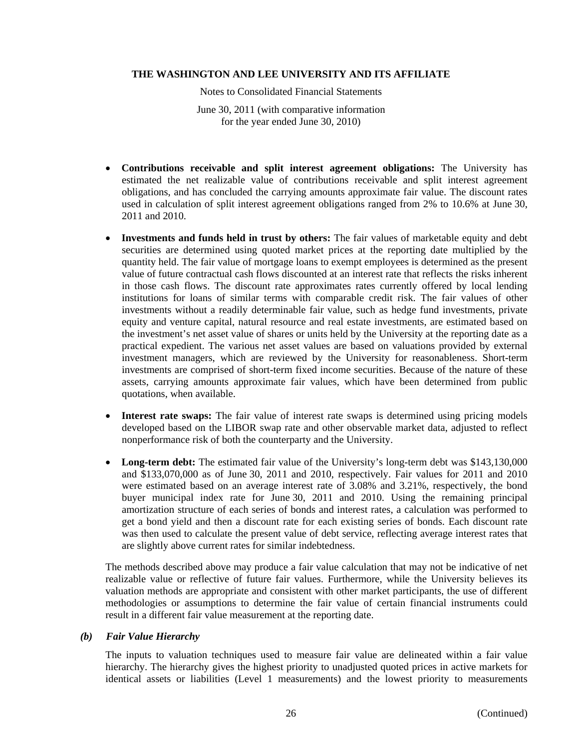Notes to Consolidated Financial Statements

June 30, 2011 (with comparative information for the year ended June 30, 2010)

- **Contributions receivable and split interest agreement obligations:** The University has estimated the net realizable value of contributions receivable and split interest agreement obligations, and has concluded the carrying amounts approximate fair value. The discount rates used in calculation of split interest agreement obligations ranged from 2% to 10.6% at June 30, 2011 and 2010.
- **Investments and funds held in trust by others:** The fair values of marketable equity and debt securities are determined using quoted market prices at the reporting date multiplied by the quantity held. The fair value of mortgage loans to exempt employees is determined as the present value of future contractual cash flows discounted at an interest rate that reflects the risks inherent in those cash flows. The discount rate approximates rates currently offered by local lending institutions for loans of similar terms with comparable credit risk. The fair values of other investments without a readily determinable fair value, such as hedge fund investments, private equity and venture capital, natural resource and real estate investments, are estimated based on the investment's net asset value of shares or units held by the University at the reporting date as a practical expedient. The various net asset values are based on valuations provided by external investment managers, which are reviewed by the University for reasonableness. Short-term investments are comprised of short-term fixed income securities. Because of the nature of these assets, carrying amounts approximate fair values, which have been determined from public quotations, when available.
- **Interest rate swaps:** The fair value of interest rate swaps is determined using pricing models developed based on the LIBOR swap rate and other observable market data, adjusted to reflect nonperformance risk of both the counterparty and the University.
- **Long-term debt:** The estimated fair value of the University's long-term debt was \$143,130,000 and \$133,070,000 as of June 30, 2011 and 2010, respectively. Fair values for 2011 and 2010 were estimated based on an average interest rate of 3.08% and 3.21%, respectively, the bond buyer municipal index rate for June 30, 2011 and 2010. Using the remaining principal amortization structure of each series of bonds and interest rates, a calculation was performed to get a bond yield and then a discount rate for each existing series of bonds. Each discount rate was then used to calculate the present value of debt service, reflecting average interest rates that are slightly above current rates for similar indebtedness.

The methods described above may produce a fair value calculation that may not be indicative of net realizable value or reflective of future fair values. Furthermore, while the University believes its valuation methods are appropriate and consistent with other market participants, the use of different methodologies or assumptions to determine the fair value of certain financial instruments could result in a different fair value measurement at the reporting date.

# *(b) Fair Value Hierarchy*

The inputs to valuation techniques used to measure fair value are delineated within a fair value hierarchy. The hierarchy gives the highest priority to unadjusted quoted prices in active markets for identical assets or liabilities (Level 1 measurements) and the lowest priority to measurements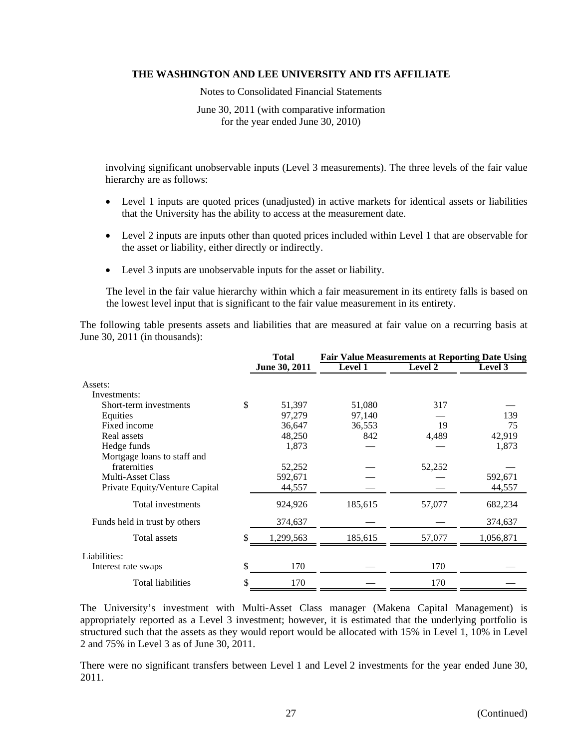Notes to Consolidated Financial Statements

June 30, 2011 (with comparative information for the year ended June 30, 2010)

involving significant unobservable inputs (Level 3 measurements). The three levels of the fair value hierarchy are as follows:

- Level 1 inputs are quoted prices (unadjusted) in active markets for identical assets or liabilities that the University has the ability to access at the measurement date.
- Level 2 inputs are inputs other than quoted prices included within Level 1 that are observable for the asset or liability, either directly or indirectly.
- Level 3 inputs are unobservable inputs for the asset or liability.

The level in the fair value hierarchy within which a fair measurement in its entirety falls is based on the lowest level input that is significant to the fair value measurement in its entirety.

The following table presents assets and liabilities that are measured at fair value on a recurring basis at June 30, 2011 (in thousands):

|                                | <b>Total</b>    | <b>Fair Value Measurements at Reporting Date Using</b> |         |           |  |  |
|--------------------------------|-----------------|--------------------------------------------------------|---------|-----------|--|--|
|                                | June 30, 2011   | <b>Level 1</b>                                         | Level 2 | Level 3   |  |  |
| Assets:                        |                 |                                                        |         |           |  |  |
| Investments:                   |                 |                                                        |         |           |  |  |
| Short-term investments         | \$<br>51,397    | 51,080                                                 | 317     |           |  |  |
| Equities                       | 97,279          | 97,140                                                 |         | 139       |  |  |
| Fixed income                   | 36,647          | 36,553                                                 | 19      | 75        |  |  |
| Real assets                    | 48,250          | 842                                                    | 4,489   | 42,919    |  |  |
| Hedge funds                    | 1,873           |                                                        |         | 1,873     |  |  |
| Mortgage loans to staff and    |                 |                                                        |         |           |  |  |
| fraternities                   | 52,252          |                                                        | 52,252  |           |  |  |
| <b>Multi-Asset Class</b>       | 592,671         |                                                        |         | 592,671   |  |  |
| Private Equity/Venture Capital | 44,557          |                                                        |         | 44,557    |  |  |
| Total investments              | 924,926         | 185,615                                                | 57,077  | 682,234   |  |  |
| Funds held in trust by others  | 374,637         |                                                        |         | 374,637   |  |  |
| Total assets                   | \$<br>1,299,563 | 185,615                                                | 57,077  | 1,056,871 |  |  |
| Liabilities:                   |                 |                                                        |         |           |  |  |
| Interest rate swaps            | \$<br>170       |                                                        | 170     |           |  |  |
| <b>Total liabilities</b>       | \$<br>170       |                                                        | 170     |           |  |  |

The University's investment with Multi-Asset Class manager (Makena Capital Management) is appropriately reported as a Level 3 investment; however, it is estimated that the underlying portfolio is structured such that the assets as they would report would be allocated with 15% in Level 1, 10% in Level 2 and 75% in Level 3 as of June 30, 2011.

There were no significant transfers between Level 1 and Level 2 investments for the year ended June 30, 2011.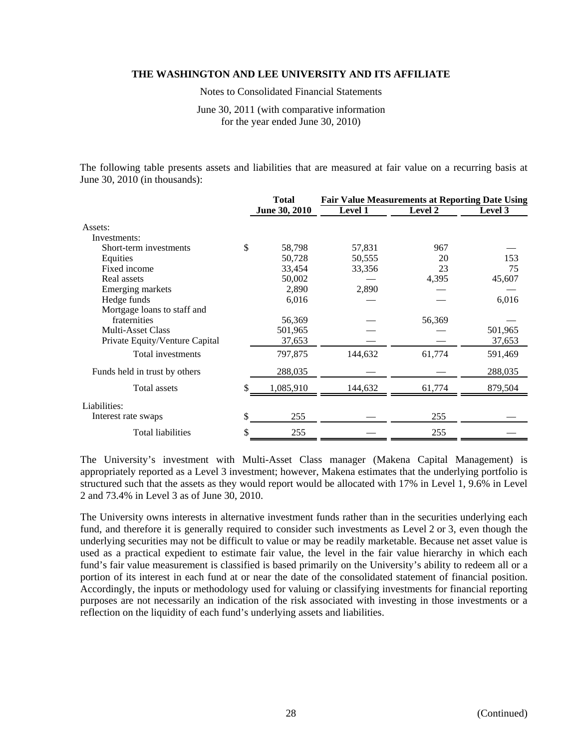Notes to Consolidated Financial Statements

June 30, 2011 (with comparative information for the year ended June 30, 2010)

The following table presents assets and liabilities that are measured at fair value on a recurring basis at June 30, 2010 (in thousands):

|                                | <b>Total</b>  | <b>Fair Value Measurements at Reporting Date Using</b> |         |         |  |  |
|--------------------------------|---------------|--------------------------------------------------------|---------|---------|--|--|
|                                | June 30, 2010 | Level 1                                                | Level 2 | Level 3 |  |  |
| Assets:                        |               |                                                        |         |         |  |  |
| Investments:                   |               |                                                        |         |         |  |  |
| Short-term investments         | \$<br>58,798  | 57,831                                                 | 967     |         |  |  |
| Equities                       | 50,728        | 50,555                                                 | 20      | 153     |  |  |
| Fixed income                   | 33,454        | 33,356                                                 | 23      | 75      |  |  |
| Real assets                    | 50,002        |                                                        | 4,395   | 45,607  |  |  |
| Emerging markets               | 2,890         | 2,890                                                  |         |         |  |  |
| Hedge funds                    | 6,016         |                                                        |         | 6,016   |  |  |
| Mortgage loans to staff and    |               |                                                        |         |         |  |  |
| fraternities                   | 56,369        |                                                        | 56,369  |         |  |  |
| <b>Multi-Asset Class</b>       | 501,965       |                                                        |         | 501,965 |  |  |
| Private Equity/Venture Capital | 37,653        |                                                        |         | 37,653  |  |  |
| Total investments              | 797,875       | 144,632                                                | 61,774  | 591,469 |  |  |
| Funds held in trust by others  | 288,035       |                                                        |         | 288,035 |  |  |
| <b>Total assets</b>            | 1,085,910     | 144,632                                                | 61.774  | 879,504 |  |  |
| Liabilities:                   |               |                                                        |         |         |  |  |
| Interest rate swaps            | \$<br>255     |                                                        | 255     |         |  |  |
| <b>Total liabilities</b>       | \$<br>255     |                                                        | 255     |         |  |  |

The University's investment with Multi-Asset Class manager (Makena Capital Management) is appropriately reported as a Level 3 investment; however, Makena estimates that the underlying portfolio is structured such that the assets as they would report would be allocated with 17% in Level 1, 9.6% in Level 2 and 73.4% in Level 3 as of June 30, 2010.

The University owns interests in alternative investment funds rather than in the securities underlying each fund, and therefore it is generally required to consider such investments as Level 2 or 3, even though the underlying securities may not be difficult to value or may be readily marketable. Because net asset value is used as a practical expedient to estimate fair value, the level in the fair value hierarchy in which each fund's fair value measurement is classified is based primarily on the University's ability to redeem all or a portion of its interest in each fund at or near the date of the consolidated statement of financial position. Accordingly, the inputs or methodology used for valuing or classifying investments for financial reporting purposes are not necessarily an indication of the risk associated with investing in those investments or a reflection on the liquidity of each fund's underlying assets and liabilities.